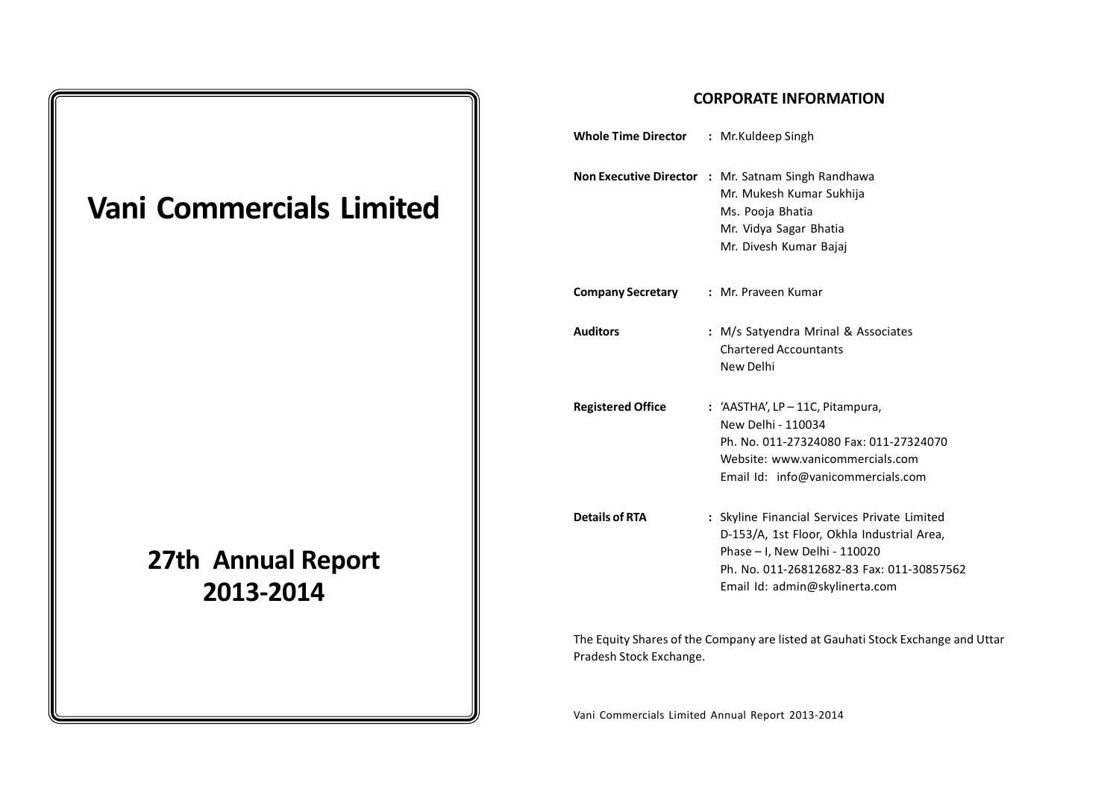# **Vani Commercials Limited**

## **27th Annual Report 2013-2014**

#### **CORPORATE INFORMATION**

| <b>Whole Time Director</b> | : Mr.Kuldeep Singh                                                                                                                                                                                         |
|----------------------------|------------------------------------------------------------------------------------------------------------------------------------------------------------------------------------------------------------|
|                            | Non Executive Director : Mr. Satnam Singh Randhawa<br>Mr. Mukesh Kumar Sukhija<br>Ms. Pooja Bhatia<br>Mr. Vidya Sagar Bhatia<br>Mr. Divesh Kumar Bajaj                                                     |
| <b>Company Secretary</b>   | : Mr. Praveen Kumar                                                                                                                                                                                        |
| <b>Auditors</b>            | : M/s Satyendra Mrinal & Associates<br><b>Chartered Accountants</b><br>New Delhi                                                                                                                           |
| <b>Registered Office</b>   | : 'AASTHA', $LP-11C$ , Pitampura,<br>New Delhi - 110034<br>Ph. No. 011-27324080 Fax: 011-27324070<br>Website: www.vanicommercials.com<br>Email Id: info@vanicommercials.com                                |
| <b>Details of RTA</b>      | : Skyline Financial Services Private Limited<br>D-153/A, 1st Floor, Okhla Industrial Area,<br>Phase - I, New Delhi - 110020<br>Ph. No. 011-26812682-83 Fax: 011-30857562<br>Email Id: admin@skylinerta.com |
|                            |                                                                                                                                                                                                            |

The Equity Shares of the Company are listed at Gauhati Stock Exchange and Uttar Pradesh Stock Exchange.

Vani Commercials Limited Annual Report 2013-2014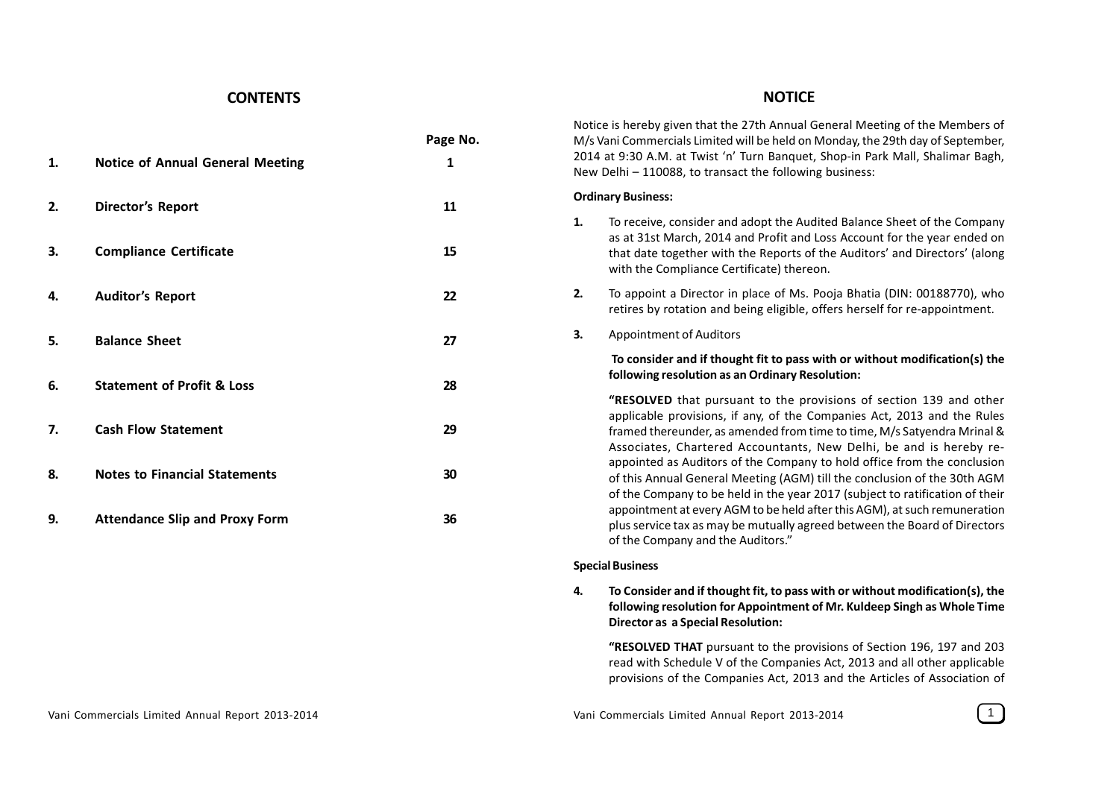#### **CONTENTS**

**1. Notice of Annual General Meeting 1**

#### **NOTICE**

Notice is hereby given that the 27th Annual General Meeting of the Members of M/s Vani Commercials Limited will be held on Monday, the 29th day of September, 2014 at 9:30 A.M. at Twist 'n' Turn Banquet, Shop-in Park Mall, Shalimar Bagh, New Delhi – 110088, to transact the following business:

#### **Ordinary Business:**

**Page No.**

- **1.** To receive, consider and adopt the Audited Balance Sheet of the Company as at 31st March, 2014 and Profit and Loss Account for the year ended on that date together with the Reports of the Auditors' and Directors' (along with the Compliance Certificate) thereon.
- **2.** To appoint a Director in place of Ms. Pooja Bhatia (DIN: 00188770), who retires by rotation and being eligible, offers herself for re-appointment.
- **3.** Appointment of Auditors

#### **To consider and if thought fit to pass with or without modification(s) the following resolution as an Ordinary Resolution:**

**"RESOLVED** that pursuant to the provisions of section 139 and other applicable provisions, if any, of the Companies Act, 2013 and the Rules framed thereunder, as amended from time to time, M/s Satyendra Mrinal & Associates, Chartered Accountants, New Delhi, be and is hereby reappointed as Auditors of the Company to hold office from the conclusion of this Annual General Meeting (AGM) till the conclusion of the 30th AGM of the Company to be held in the year 2017 (subject to ratification of their appointment at every AGM to be held after this AGM), at such remuneration plus service tax as may be mutually agreed between the Board of Directors of the Company and the Auditors."

#### **Special Business**

**4. To Consider and if thought fit, to pass with or without modification(s), the following resolution for Appointment of Mr. Kuldeep Singh as Whole Time Director as a Special Resolution:**

**"RESOLVED THAT** pursuant to the provisions of Section 196, 197 and 203 read with Schedule V of the Companies Act, 2013 and all other applicable provisions of the Companies Act, 2013 and the Articles of Association of

# **2. Director's Report 11 3. Compliance Certificate 15 4. Auditor's Report 22 5. Balance Sheet 27 6. Statement of Profit & Loss 28 7. Cash Flow Statement 29 8. Notes to Financial Statements 30 9. Attendance Slip and Proxy Form 36**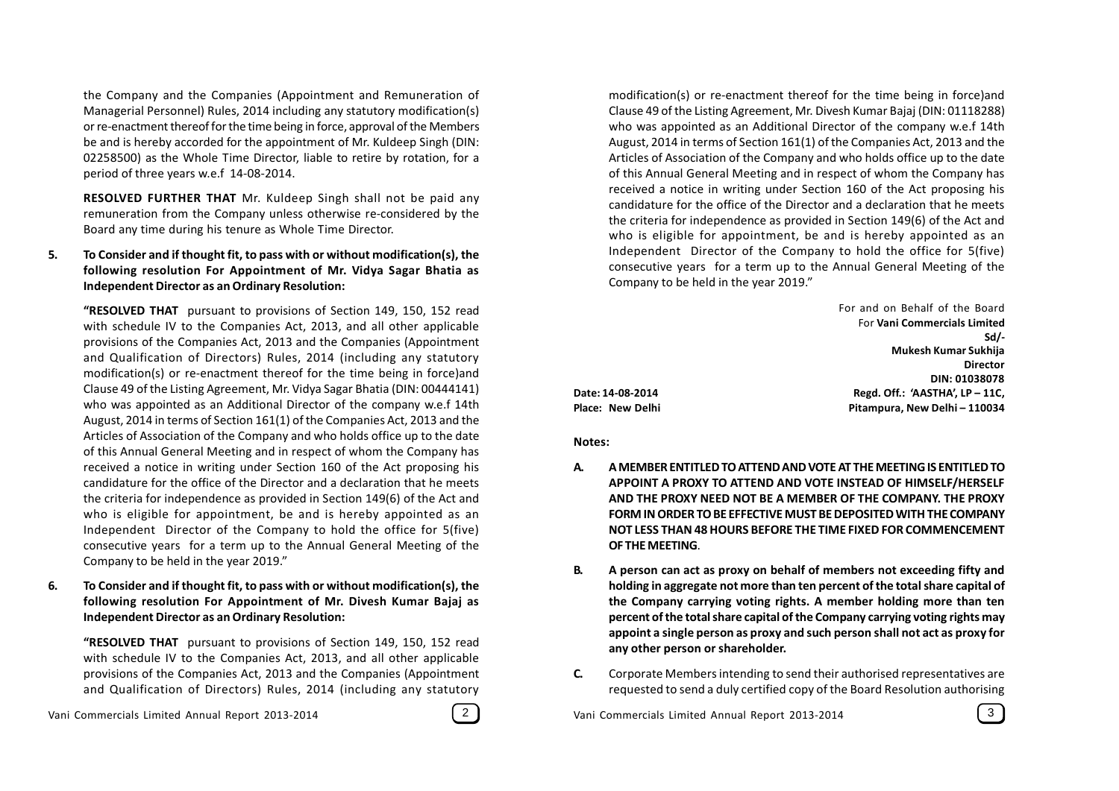the Company and the Companies (Appointment and Remuneration of Managerial Personnel) Rules, 2014 including any statutory modification(s) or re-enactment thereof for the time being in force, approval of the Members be and is hereby accorded for the appointment of Mr. Kuldeep Singh (DIN: 02258500) as the Whole Time Director, liable to retire by rotation, for a period of three years w.e.f 14-08-2014.

**RESOLVED FURTHER THAT** Mr. Kuldeep Singh shall not be paid any remuneration from the Company unless otherwise re-considered by the Board any time during his tenure as Whole Time Director.

#### **5. To Consider and if thought fit, to pass with or without modification(s), the following resolution For Appointment of Mr. Vidya Sagar Bhatia as Independent Director as an Ordinary Resolution:**

**"RESOLVED THAT** pursuant to provisions of Section 149, 150, 152 read with schedule IV to the Companies Act, 2013, and all other applicable provisions of the Companies Act, 2013 and the Companies (Appointment and Qualification of Directors) Rules, 2014 (including any statutory modification(s) or re-enactment thereof for the time being in force)and Clause 49 of the Listing Agreement, Mr. Vidya Sagar Bhatia (DIN: 00444141) who was appointed as an Additional Director of the company w.e.f 14th August, 2014 in terms of Section 161(1) of the Companies Act, 2013 and the Articles of Association of the Company and who holds office up to the date of this Annual General Meeting and in respect of whom the Company has received a notice in writing under Section 160 of the Act proposing his candidature for the office of the Director and a declaration that he meets the criteria for independence as provided in Section 149(6) of the Act and who is eligible for appointment, be and is hereby appointed as an Independent Director of the Company to hold the office for 5(five) consecutive years for a term up to the Annual General Meeting of the Company to be held in the year 2019."

**6. To Consider and if thought fit, to pass with or without modification(s), the following resolution For Appointment of Mr. Divesh Kumar Bajaj as Independent Director as an Ordinary Resolution:**

**"RESOLVED THAT** pursuant to provisions of Section 149, 150, 152 read with schedule IV to the Companies Act, 2013, and all other applicable provisions of the Companies Act, 2013 and the Companies (Appointment and Qualification of Directors) Rules, 2014 (including any statutory

Vani Commercials Limited Annual Report 2013-2014 **2 | Separat Annual Report 2013-2014** 3 | Vani Commercials Limited Annual Report 2013-2014



modification(s) or re-enactment thereof for the time being in force)and Clause 49 of the Listing Agreement, Mr. Divesh Kumar Bajaj (DIN: 01118288) who was appointed as an Additional Director of the company w.e.f 14th August, 2014 in terms of Section 161(1) of the Companies Act, 2013 and the Articles of Association of the Company and who holds office up to the date of this Annual General Meeting and in respect of whom the Company has received a notice in writing under Section 160 of the Act proposing his candidature for the office of the Director and a declaration that he meets the criteria for independence as provided in Section 149(6) of the Act and who is eligible for appointment, be and is hereby appointed as an Independent Director of the Company to hold the office for 5(five) consecutive years for a term up to the Annual General Meeting of the Company to be held in the year 2019."

| For and on Behalf of the Board  |  |
|---------------------------------|--|
| For Vani Commercials Limited    |  |
| Sd/-                            |  |
| Mukesh Kumar Sukhija            |  |
| <b>Director</b>                 |  |
| DIN: 01038078                   |  |
| Regd. Off.: 'AASTHA', LP - 11C, |  |
| Pitampura, New Delhi - 110034   |  |

**Place: New Delhi** 

**Date: 14-08-2014 Regd. Off.: 'AASTHA', LP – 11C,**

**Notes:**

- **A. A MEMBER ENTITLED TO ATTEND AND VOTE AT THE MEETING IS ENTITLED TO APPOINT A PROXY TO ATTEND AND VOTE INSTEAD OF HIMSELF/HERSELF AND THE PROXY NEED NOT BE A MEMBER OF THE COMPANY. THE PROXY FORM IN ORDER TO BE EFFECTIVE MUST BE DEPOSITED WITH THE COMPANY NOT LESS THAN 48 HOURS BEFORE THE TIME FIXED FOR COMMENCEMENT OF THE MEETING**.
- **B. A person can act as proxy on behalf of members not exceeding fifty and holding in aggregate not more than ten percent of the total share capital of the Company carrying voting rights. A member holding more than ten percent of the total share capital of the Company carrying voting rights may appoint a single person as proxy and such person shall not act as proxy for any other person or shareholder.**
- **C.** Corporate Members intending to send their authorised representatives are requested to send a duly certified copy of the Board Resolution authorising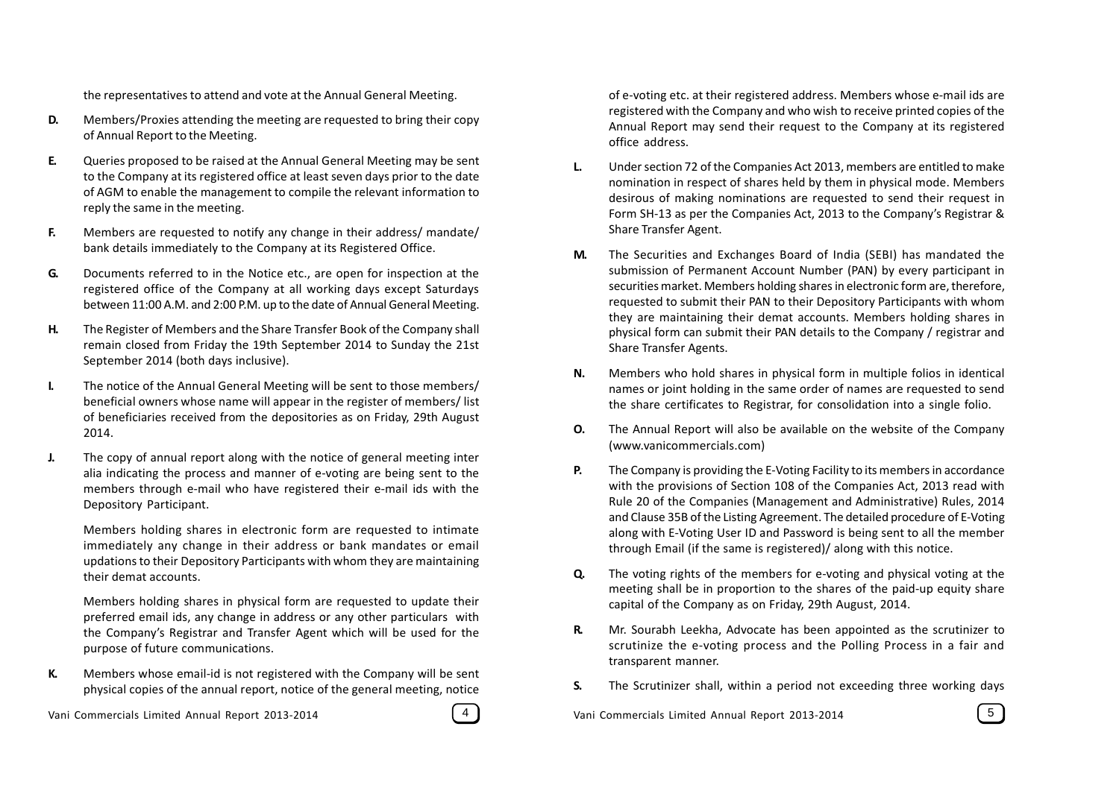the representatives to attend and vote at the Annual General Meeting.

- **D.** Members/Proxies attending the meeting are requested to bring their copy of Annual Report to the Meeting.
- **E.** Queries proposed to be raised at the Annual General Meeting may be sent to the Company at its registered office at least seven days prior to the date of AGM to enable the management to compile the relevant information to reply the same in the meeting.
- **F.** Members are requested to notify any change in their address/ mandate/ bank details immediately to the Company at its Registered Office.
- **G.** Documents referred to in the Notice etc., are open for inspection at the registered office of the Company at all working days except Saturdays between 11:00 A.M. and 2:00 P.M. up to the date of Annual General Meeting.
- **H.** The Register of Members and the Share Transfer Book of the Company shall remain closed from Friday the 19th September 2014 to Sunday the 21st September 2014 (both days inclusive).
- **I.** The notice of the Annual General Meeting will be sent to those members/ beneficial owners whose name will appear in the register of members/ list of beneficiaries received from the depositories as on Friday, 29th August 2014.
- **J.** The copy of annual report along with the notice of general meeting inter alia indicating the process and manner of e-voting are being sent to the members through e-mail who have registered their e-mail ids with the Depository Participant.

Members holding shares in electronic form are requested to intimate immediately any change in their address or bank mandates or email updations to their Depository Participants with whom they are maintaining their demat accounts.

Members holding shares in physical form are requested to update their preferred email ids, any change in address or any other particulars with the Company's Registrar and Transfer Agent which will be used for the purpose of future communications.

**K.** Members whose email-id is not registered with the Company will be sent physical copies of the annual report, notice of the general meeting, notice

Vani Commercials Limited Annual Report 2013-2014 (4) Vani Commercials Limited Annual Report 2013-2014 (5



of e-voting etc. at their registered address. Members whose e-mail ids are registered with the Company and who wish to receive printed copies of the Annual Report may send their request to the Company at its registered office address.

- **L.** Under section 72 of the Companies Act 2013, members are entitled to make nomination in respect of shares held by them in physical mode. Members desirous of making nominations are requested to send their request in Form SH-13 as per the Companies Act, 2013 to the Company's Registrar & Share Transfer Agent.
- **M.** The Securities and Exchanges Board of India (SEBI) has mandated the submission of Permanent Account Number (PAN) by every participant in securities market. Members holding shares in electronic form are, therefore, requested to submit their PAN to their Depository Participants with whom they are maintaining their demat accounts. Members holding shares in physical form can submit their PAN details to the Company / registrar and Share Transfer Agents.
- **N.** Members who hold shares in physical form in multiple folios in identical names or joint holding in the same order of names are requested to send the share certificates to Registrar, for consolidation into a single folio.
- **O.** The Annual Report will also be available on the website of the Company (www.vanicommercials.com)
- **P.** The Company is providing the E-Voting Facility to its members in accordance with the provisions of Section 108 of the Companies Act, 2013 read with Rule 20 of the Companies (Management and Administrative) Rules, 2014 and Clause 35B of the Listing Agreement. The detailed procedure of E-Voting along with E-Voting User ID and Password is being sent to all the member through Email (if the same is registered)/ along with this notice.
- **Q.** The voting rights of the members for e-voting and physical voting at the meeting shall be in proportion to the shares of the paid-up equity share capital of the Company as on Friday, 29th August, 2014.
- **R.** Mr. Sourabh Leekha, Advocate has been appointed as the scrutinizer to scrutinize the e-voting process and the Polling Process in a fair and transparent manner.
- **S.** The Scrutinizer shall, within a period not exceeding three working days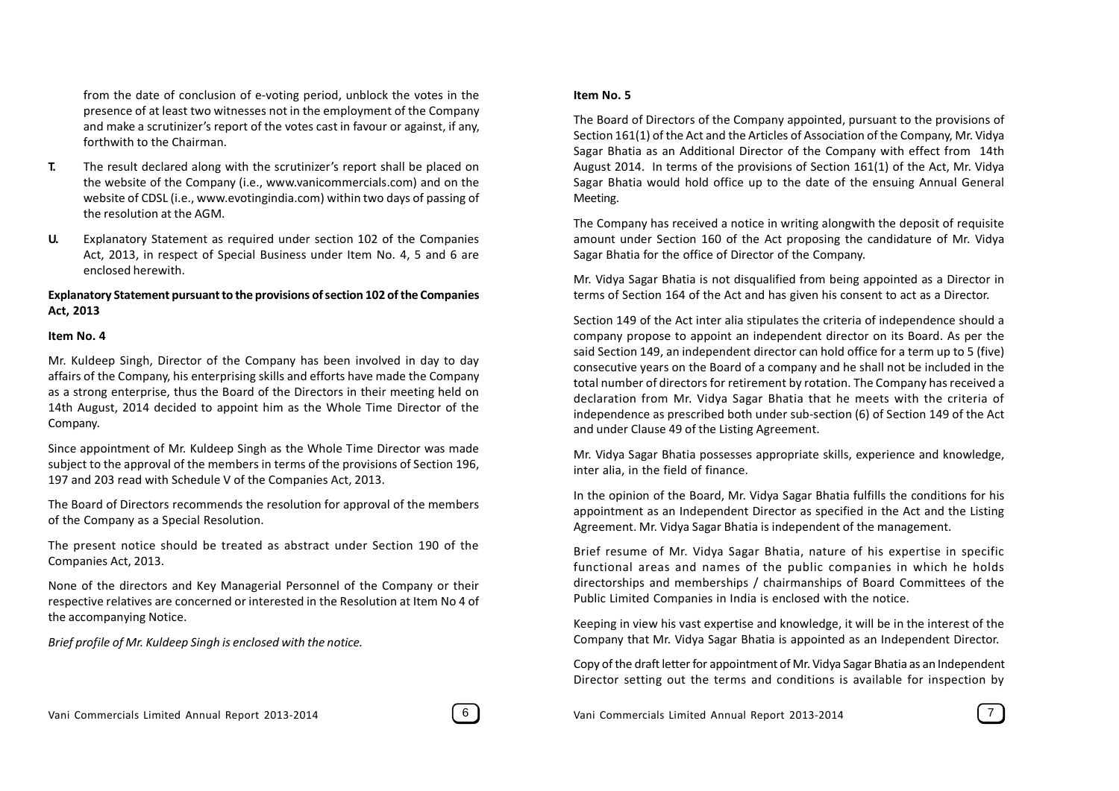from the date of conclusion of e-voting period, unblock the votes in the presence of at least two witnesses not in the employment of the Company and make a scrutinizer's report of the votes cast in favour or against, if any, forthwith to the Chairman.

- **T.** The result declared along with the scrutinizer's report shall be placed on the website of the Company (i.e., www.vanicommercials.com) and on the website of CDSL (i.e., www.evotingindia.com) within two days of passing of the resolution at the AGM.
- **U.** Explanatory Statement as required under section 102 of the Companies Act, 2013, in respect of Special Business under Item No. 4, 5 and 6 are enclosed herewith.

#### **Explanatory Statement pursuant to the provisions of section 102 of the Companies Act, 2013**

#### **Item No. 4**

Mr. Kuldeep Singh, Director of the Company has been involved in day to day affairs of the Company, his enterprising skills and efforts have made the Company as a strong enterprise, thus the Board of the Directors in their meeting held on 14th August, 2014 decided to appoint him as the Whole Time Director of the Company.

Since appointment of Mr. Kuldeep Singh as the Whole Time Director was made subject to the approval of the members in terms of the provisions of Section 196, 197 and 203 read with Schedule V of the Companies Act, 2013.

The Board of Directors recommends the resolution for approval of the members of the Company as a Special Resolution.

The present notice should be treated as abstract under Section 190 of the Companies Act, 2013.

None of the directors and Key Managerial Personnel of the Company or their respective relatives are concerned or interested in the Resolution at Item No 4 of the accompanying Notice.

*Brief profile of Mr. Kuldeep Singh is enclosed with the notice.*

#### **Item No. 5**

The Board of Directors of the Company appointed, pursuant to the provisions of Section 161(1) of the Act and the Articles of Association of the Company, Mr. Vidya Sagar Bhatia as an Additional Director of the Company with effect from 14th August 2014. In terms of the provisions of Section 161(1) of the Act, Mr. Vidya Sagar Bhatia would hold office up to the date of the ensuing Annual General Meeting.

The Company has received a notice in writing alongwith the deposit of requisite amount under Section 160 of the Act proposing the candidature of Mr. Vidya Sagar Bhatia for the office of Director of the Company.

Mr. Vidya Sagar Bhatia is not disqualified from being appointed as a Director in terms of Section 164 of the Act and has given his consent to act as a Director.

Section 149 of the Act inter alia stipulates the criteria of independence should a company propose to appoint an independent director on its Board. As per the said Section 149, an independent director can hold office for a term up to 5 (five) consecutive years on the Board of a company and he shall not be included in the total number of directors for retirement by rotation. The Company has received a declaration from Mr. Vidya Sagar Bhatia that he meets with the criteria of independence as prescribed both under sub-section (6) of Section 149 of the Act and under Clause 49 of the Listing Agreement.

Mr. Vidya Sagar Bhatia possesses appropriate skills, experience and knowledge, inter alia, in the field of finance.

In the opinion of the Board, Mr. Vidya Sagar Bhatia fulfills the conditions for his appointment as an Independent Director as specified in the Act and the Listing Agreement. Mr. Vidya Sagar Bhatia is independent of the management.

Brief resume of Mr. Vidya Sagar Bhatia, nature of his expertise in specific functional areas and names of the public companies in which he holds directorships and memberships / chairmanships of Board Committees of the Public Limited Companies in India is enclosed with the notice.

Keeping in view his vast expertise and knowledge, it will be in the interest of the Company that Mr. Vidya Sagar Bhatia is appointed as an Independent Director.

Copy of the draft letter for appointment of Mr. Vidya Sagar Bhatia as an Independent Director setting out the terms and conditions is available for inspection by

Vani Commercials Limited Annual Report 2013-2014 [ 6 ] [ 6 ] Vani Commercials Limited Annual Report 2013-2014 [ 7 ]

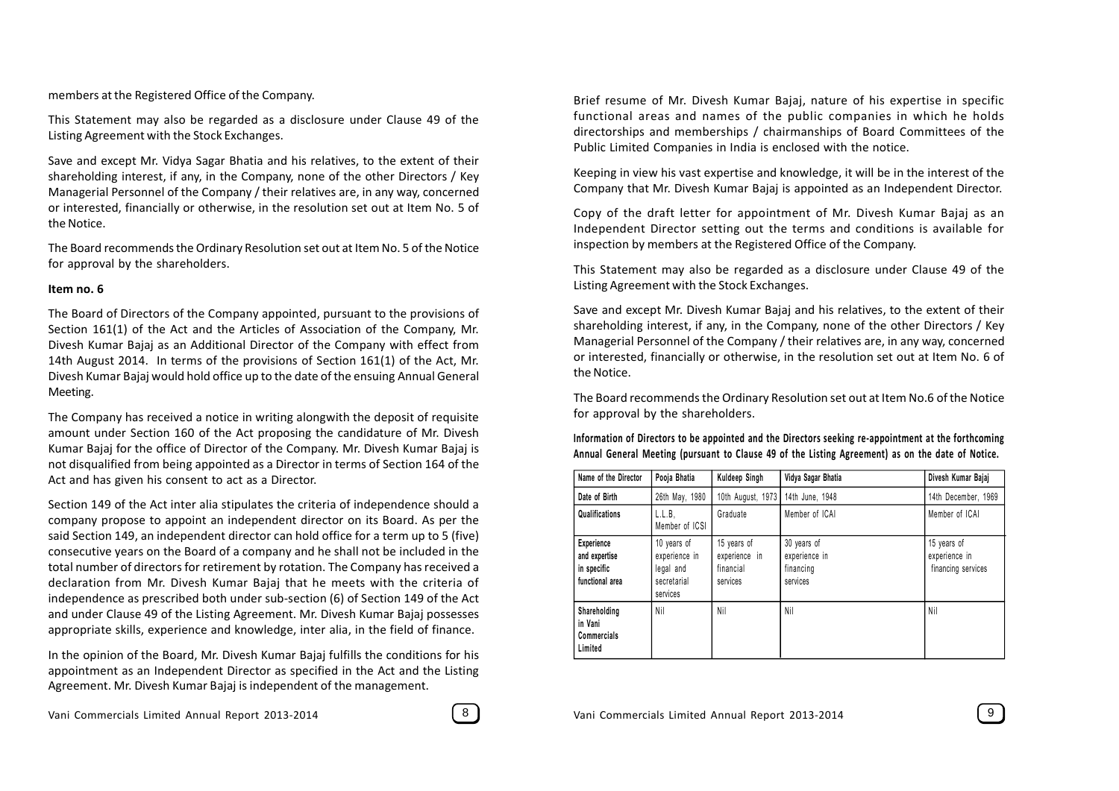members at the Registered Office of the Company.

This Statement may also be regarded as a disclosure under Clause 49 of the Listing Agreement with the Stock Exchanges.

Save and except Mr. Vidya Sagar Bhatia and his relatives, to the extent of their shareholding interest, if any, in the Company, none of the other Directors / Key Managerial Personnel of the Company / their relatives are, in any way, concerned or interested, financially or otherwise, in the resolution set out at Item No. 5 of the Notice.

The Board recommends the Ordinary Resolution set out at Item No. 5 of the Notice for approval by the shareholders.

#### **Item no. 6**

The Board of Directors of the Company appointed, pursuant to the provisions of Section 161(1) of the Act and the Articles of Association of the Company, Mr. Divesh Kumar Bajaj as an Additional Director of the Company with effect from 14th August 2014. In terms of the provisions of Section 161(1) of the Act, Mr. Divesh Kumar Bajaj would hold office up to the date of the ensuing Annual General Meeting.

The Company has received a notice in writing alongwith the deposit of requisite amount under Section 160 of the Act proposing the candidature of Mr. Divesh Kumar Bajaj for the office of Director of the Company. Mr. Divesh Kumar Bajaj is not disqualified from being appointed as a Director in terms of Section 164 of the Act and has given his consent to act as a Director.

Section 149 of the Act inter alia stipulates the criteria of independence should a company propose to appoint an independent director on its Board. As per the said Section 149, an independent director can hold office for a term up to 5 (five) consecutive years on the Board of a company and he shall not be included in the total number of directors for retirement by rotation. The Company has received a declaration from Mr. Divesh Kumar Bajaj that he meets with the criteria of independence as prescribed both under sub-section (6) of Section 149 of the Act and under Clause 49 of the Listing Agreement. Mr. Divesh Kumar Bajaj possesses appropriate skills, experience and knowledge, inter alia, in the field of finance.

In the opinion of the Board, Mr. Divesh Kumar Bajaj fulfills the conditions for his appointment as an Independent Director as specified in the Act and the Listing Agreement. Mr. Divesh Kumar Bajaj is independent of the management.



Brief resume of Mr. Divesh Kumar Bajaj, nature of his expertise in specific functional areas and names of the public companies in which he holds directorships and memberships / chairmanships of Board Committees of the Public Limited Companies in India is enclosed with the notice.

Keeping in view his vast expertise and knowledge, it will be in the interest of the Company that Mr. Divesh Kumar Bajaj is appointed as an Independent Director.

Copy of the draft letter for appointment of Mr. Divesh Kumar Bajaj as an Independent Director setting out the terms and conditions is available for inspection by members at the Registered Office of the Company.

This Statement may also be regarded as a disclosure under Clause 49 of the Listing Agreement with the Stock Exchanges.

Save and except Mr. Divesh Kumar Bajaj and his relatives, to the extent of their shareholding interest, if any, in the Company, none of the other Directors / Key Managerial Personnel of the Company / their relatives are, in any way, concerned or interested, financially or otherwise, in the resolution set out at Item No. 6 of the Notice.

The Board recommends the Ordinary Resolution set out at Item No.6 of the Notice for approval by the shareholders.

**Information of Directors to be appointed and the Directors seeking re-appointment at the forthcoming Annual General Meeting (pursuant to Clause 49 of the Listing Agreement) as on the date of Notice.**

| Name of the Director                                          | Pooja Bhatia                                                         | Kuldeep Singh                                         | Vidya Sagar Bhatia                                    | Divesh Kumar Bajaj                                 |
|---------------------------------------------------------------|----------------------------------------------------------------------|-------------------------------------------------------|-------------------------------------------------------|----------------------------------------------------|
| Date of Birth                                                 | 26th May, 1980                                                       | 10th August, 1973                                     | 14th June, 1948                                       | 14th December, 1969                                |
| Qualifications                                                | L.L.B.<br>Member of ICSI                                             | Graduate                                              | Member of ICAI                                        | Member of ICAI                                     |
| Experience<br>and expertise<br>in specific<br>functional area | 10 years of<br>experience in<br>legal and<br>secretarial<br>services | 15 years of<br>experience in<br>financial<br>services | 30 years of<br>experience in<br>financing<br>services | 15 years of<br>experience in<br>financing services |
| Shareholding<br>in Vani<br>Commercials<br>Limited             | Nil                                                                  | Nil                                                   | Nil                                                   | Nil                                                |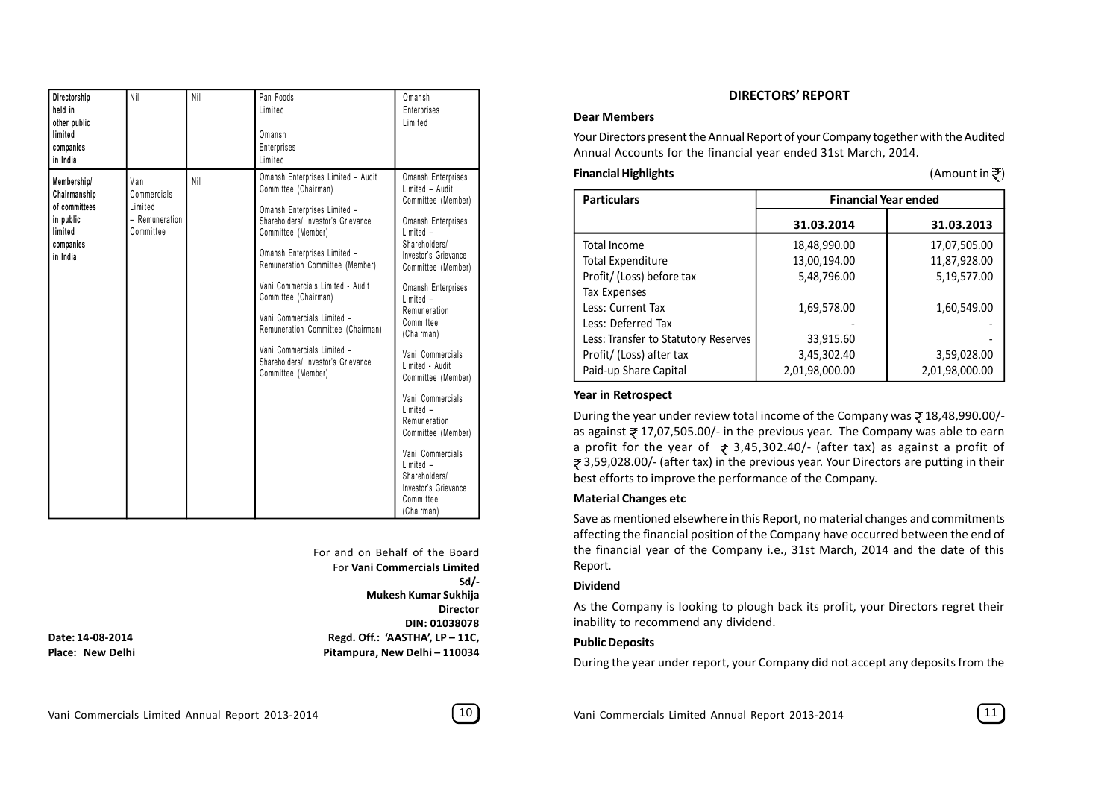| Directorship<br>held in<br>other public<br>limited<br>companies<br>in India                          | Nil                                                           | Nil | Pan Foods<br>Limited<br>Omansh<br>Enterprises<br>Limited                                                                                                                                                                                                                                                                                                                                                                                           | Omansh<br>Enterprises<br>Limited                                                                                                                                                                                                                                                                                                                                                                                                                                                     |
|------------------------------------------------------------------------------------------------------|---------------------------------------------------------------|-----|----------------------------------------------------------------------------------------------------------------------------------------------------------------------------------------------------------------------------------------------------------------------------------------------------------------------------------------------------------------------------------------------------------------------------------------------------|--------------------------------------------------------------------------------------------------------------------------------------------------------------------------------------------------------------------------------------------------------------------------------------------------------------------------------------------------------------------------------------------------------------------------------------------------------------------------------------|
| <b>Membership/</b><br>Chairmanship<br>of committees<br>in public<br>limited<br>companies<br>in India | Vani<br>Commercials<br>Limited<br>- Remuneration<br>Committee | Nil | Omansh Enterprises Limited - Audit<br>Committee (Chairman)<br>Omansh Enterprises Limited -<br>Shareholders/ Investor's Grievance<br>Committee (Member)<br>Omansh Enterprises Limited -<br>Remuneration Committee (Member)<br>Vani Commercials Limited - Audit<br>Committee (Chairman)<br>Vani Commercials Limited -<br>Remuneration Committee (Chairman)<br>Vani Commercials Limited -<br>Shareholders/ Investor's Grievance<br>Committee (Member) | Omansh Enterprises<br>Limited - Audit<br>Committee (Member)<br>Omansh Enterprises<br>Limited -<br>Shareholders/<br>Investor's Grievance<br>Committee (Member)<br>Omansh Enterprises<br>Limited -<br>Remuneration<br>Committee<br>(Chairman)<br>Vani Commercials<br>Limited - Audit<br>Committee (Member)<br>Vani Commercials<br>Limited -<br>Remuneration<br>Committee (Member)<br>Vani Commercials<br>Limited -<br>Shareholders/<br>Investor's Grievance<br>Committee<br>(Chairman) |

For and on Behalf of the Board For **Vani Commercials Limited Sd/- Mukesh Kumar Sukhija Director DIN: 01038078 Date: 14-08-2014 Regd. Off.: 'AASTHA', LP – 11C, Place: New Delhi Pitampura, New Delhi – 110034**

#### **Dear Members**

Your Directors present the Annual Report of your Company together with the Audited Annual Accounts for the financial year ended 31st March, 2014.

#### **Financial Highlights** (Amount in  $\overline{\mathcal{F}}$ )

| <b>Particulars</b>                   | <b>Financial Year ended</b> |                |  |
|--------------------------------------|-----------------------------|----------------|--|
|                                      | 31.03.2014                  | 31.03.2013     |  |
| Total Income                         | 18,48,990.00                | 17,07,505.00   |  |
| <b>Total Expenditure</b>             | 13,00,194.00                | 11,87,928.00   |  |
| Profit/ (Loss) before tax            | 5,48,796.00                 | 5,19,577.00    |  |
| Tax Expenses                         |                             |                |  |
| Less: Current Tax                    | 1,69,578.00                 | 1,60,549.00    |  |
| Less: Deferred Tax                   |                             |                |  |
| Less: Transfer to Statutory Reserves | 33,915.60                   |                |  |
| Profit/ (Loss) after tax             | 3,45,302.40                 | 3,59,028.00    |  |
| Paid-up Share Capital                | 2,01,98,000.00              | 2,01,98,000.00 |  |

#### **Year in Retrospect**

During the year under review total income of the Company was  $\overline{z}$  18,48,990.00/as against  $\bar{z}$  17,07,505.00/- in the previous year. The Company was able to earn a profit for the year of  $\geq 3,45,302.40/$ - (after tax) as against a profit of ₹ 3,59,028.00/- (after tax) in the previous year. Your Directors are putting in their best efforts to improve the performance of the Company.

#### **Material Changes etc**

Save as mentioned elsewhere in this Report, no material changes and commitments affecting the financial position of the Company have occurred between the end of the financial year of the Company i.e., 31st March, 2014 and the date of this Report.

#### **Dividend**

As the Company is looking to plough back its profit, your Directors regret their inability to recommend any dividend.

#### **Public Deposits**

During the year under report, your Company did not accept any deposits from the

Vani Commercials Limited Annual Report 2013-2014 (10) Vani Commercials Limited Annual Report 2013-2014 (11)

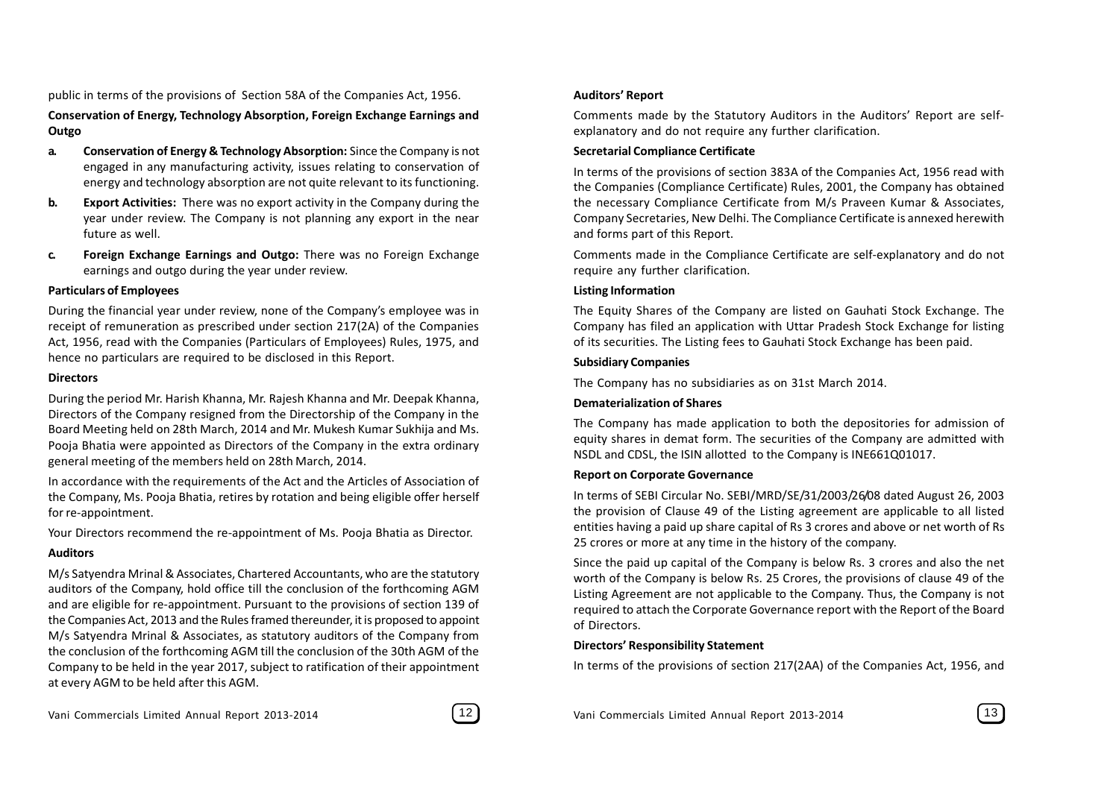public in terms of the provisions of Section 58A of the Companies Act, 1956.

#### **Conservation of Energy, Technology Absorption, Foreign Exchange Earnings and Outgo**

- **a. Conservation of Energy & Technology Absorption:** Since the Company is not engaged in any manufacturing activity, issues relating to conservation of energy and technology absorption are not quite relevant to its functioning.
- **b. Export Activities:** There was no export activity in the Company during the year under review. The Company is not planning any export in the near future as well.
- **c. Foreign Exchange Earnings and Outgo:** There was no Foreign Exchange earnings and outgo during the year under review.

#### **Particulars of Employees**

During the financial year under review, none of the Company's employee was in receipt of remuneration as prescribed under section 217(2A) of the Companies Act, 1956, read with the Companies (Particulars of Employees) Rules, 1975, and hence no particulars are required to be disclosed in this Report.

#### **Directors**

During the period Mr. Harish Khanna, Mr. Rajesh Khanna and Mr. Deepak Khanna, Directors of the Company resigned from the Directorship of the Company in the Board Meeting held on 28th March, 2014 and Mr. Mukesh Kumar Sukhija and Ms. Pooja Bhatia were appointed as Directors of the Company in the extra ordinary general meeting of the members held on 28th March, 2014.

In accordance with the requirements of the Act and the Articles of Association of the Company, Ms. Pooja Bhatia, retires by rotation and being eligible offer herself for re-appointment.

Your Directors recommend the re-appointment of Ms. Pooja Bhatia as Director.

#### **Auditors**

M/s Satyendra Mrinal & Associates, Chartered Accountants, who are the statutory auditors of the Company, hold office till the conclusion of the forthcoming AGM and are eligible for re-appointment. Pursuant to the provisions of section 139 of the Companies Act, 2013 and the Rules framed thereunder, it is proposed to appoint M/s Satyendra Mrinal & Associates, as statutory auditors of the Company from the conclusion of the forthcoming AGM till the conclusion of the 30th AGM of the Company to be held in the year 2017, subject to ratification of their appointment at every AGM to be held after this AGM.

Comments made by the Statutory Auditors in the Auditors' Report are selfexplanatory and do not require any further clarification.

#### **Secretarial Compliance Certificate**

In terms of the provisions of section 383A of the Companies Act, 1956 read with the Companies (Compliance Certificate) Rules, 2001, the Company has obtained the necessary Compliance Certificate from M/s Praveen Kumar & Associates, Company Secretaries, New Delhi. The Compliance Certificate is annexed herewith and forms part of this Report.

Comments made in the Compliance Certificate are self-explanatory and do not require any further clarification.

#### **Listing Information**

The Equity Shares of the Company are listed on Gauhati Stock Exchange. The Company has filed an application with Uttar Pradesh Stock Exchange for listing of its securities. The Listing fees to Gauhati Stock Exchange has been paid.

#### **Subsidiary Companies**

The Company has no subsidiaries as on 31st March 2014.

#### **Dematerialization of Shares**

The Company has made application to both the depositories for admission of equity shares in demat form. The securities of the Company are admitted with NSDL and CDSL, the ISIN allotted to the Company is INE661Q01017.

#### **Report on Corporate Governance**

In terms of SEBI Circular No. SEBI/MRD/SE/31/2003/26/08 dated August 26, 2003 the provision of Clause 49 of the Listing agreement are applicable to all listed entities having a paid up share capital of Rs 3 crores and above or net worth of Rs 25 crores or more at any time in the history of the company.

Since the paid up capital of the Company is below Rs. 3 crores and also the net worth of the Company is below Rs. 25 Crores, the provisions of clause 49 of the Listing Agreement are not applicable to the Company. Thus, the Company is not required to attach the Corporate Governance report with the Report of the Board of Directors.

#### **Directors' Responsibility Statement**

In terms of the provisions of section 217(2AA) of the Companies Act, 1956, and

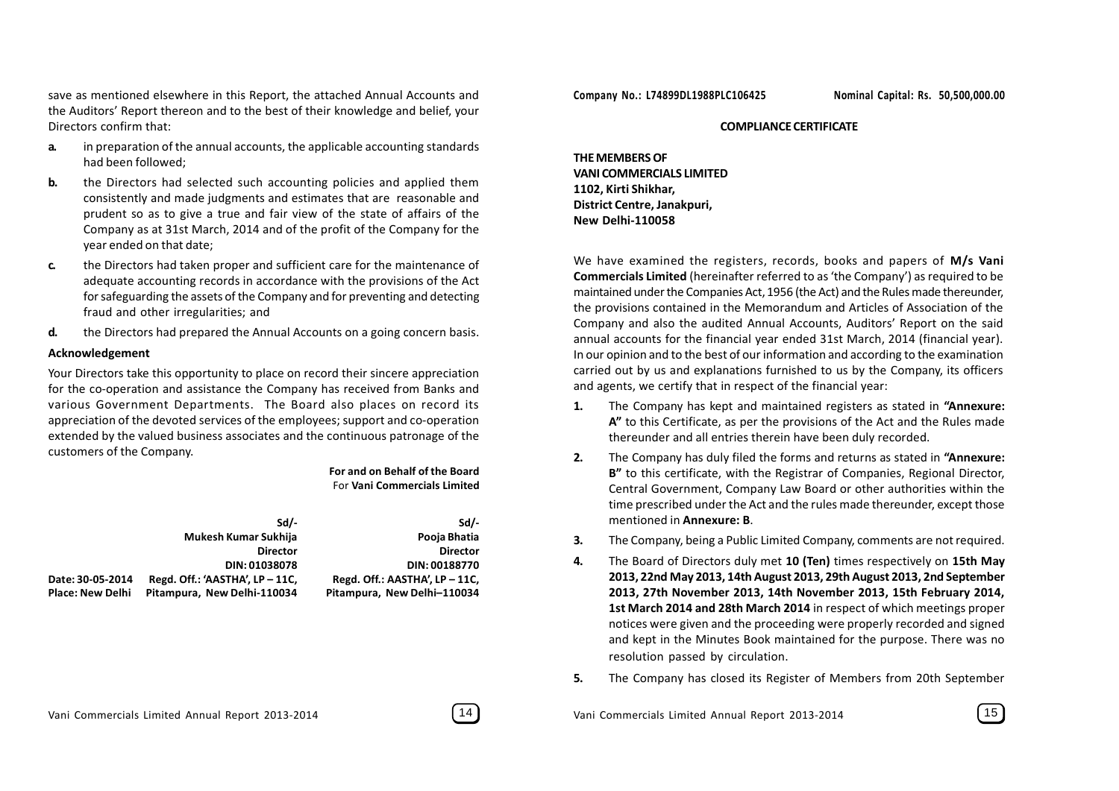save as mentioned elsewhere in this Report, the attached Annual Accounts and the Auditors' Report thereon and to the best of their knowledge and belief, your Directors confirm that:

- **a.** in preparation of the annual accounts, the applicable accounting standards had been followed;
- **b.** the Directors had selected such accounting policies and applied them consistently and made judgments and estimates that are reasonable and prudent so as to give a true and fair view of the state of affairs of the Company as at 31st March, 2014 and of the profit of the Company for the year ended on that date;
- **c.** the Directors had taken proper and sufficient care for the maintenance of adequate accounting records in accordance with the provisions of the Act for safeguarding the assets of the Company and for preventing and detecting fraud and other irregularities; and
- **d.** the Directors had prepared the Annual Accounts on a going concern basis.

#### **Acknowledgement**

Your Directors take this opportunity to place on record their sincere appreciation for the co-operation and assistance the Company has received from Banks and various Government Departments. The Board also places on record its appreciation of the devoted services of the employees; support and co-operation extended by the valued business associates and the continuous patronage of the customers of the Company.

#### **For and on Behalf of the Board** For **Vani Commercials Limited**

|                         | $Sd/-$                             | Sd/-                           |
|-------------------------|------------------------------------|--------------------------------|
|                         | Mukesh Kumar Sukhija               | Pooja Bhatia                   |
|                         | <b>Director</b>                    | <b>Director</b>                |
|                         | DIN: 01038078                      | DIN: 00188770                  |
| Date: 30-05-2014        | Regd. Off.: 'AASTHA', $LP - 11C$ , | Regd. Off.: AASTHA', LP - 11C, |
| <b>Place: New Delhi</b> | Pitampura, New Delhi-110034        | Pitampura, New Delhi-110034    |

#### **COMPLIANCE CERTIFICATE**

**THE MEMBERS OF VANI COMMERCIALS LIMITED 1102, Kirti Shikhar, District Centre, Janakpuri, New Delhi-110058**

We have examined the registers, records, books and papers of **M/s Vani Commercials Limited** (hereinafter referred to as 'the Company') as required to be maintained under the Companies Act, 1956 (the Act) and the Rules made thereunder, the provisions contained in the Memorandum and Articles of Association of the Company and also the audited Annual Accounts, Auditors' Report on the said annual accounts for the financial year ended 31st March, 2014 (financial year). In our opinion and to the best of our information and according to the examination carried out by us and explanations furnished to us by the Company, its officers and agents, we certify that in respect of the financial year:

- **1.** The Company has kept and maintained registers as stated in **"Annexure: A"** to this Certificate, as per the provisions of the Act and the Rules made thereunder and all entries therein have been duly recorded.
- **2.** The Company has duly filed the forms and returns as stated in **"Annexure: B"** to this certificate, with the Registrar of Companies, Regional Director, Central Government, Company Law Board or other authorities within the time prescribed under the Act and the rules made thereunder, except those mentioned in **Annexure: B**.
- **3.** The Company, being a Public Limited Company, comments are not required.
- **4.** The Board of Directors duly met **10 (Ten)** times respectively on **15th May 2013, 22nd May 2013, 14th August 2013, 29th August 2013, 2nd September 2013, 27th November 2013, 14th November 2013, 15th February 2014, 1st March 2014 and 28th March 2014** in respect of which meetings proper notices were given and the proceeding were properly recorded and signed and kept in the Minutes Book maintained for the purpose. There was no resolution passed by circulation.
- **5.** The Company has closed its Register of Members from 20th September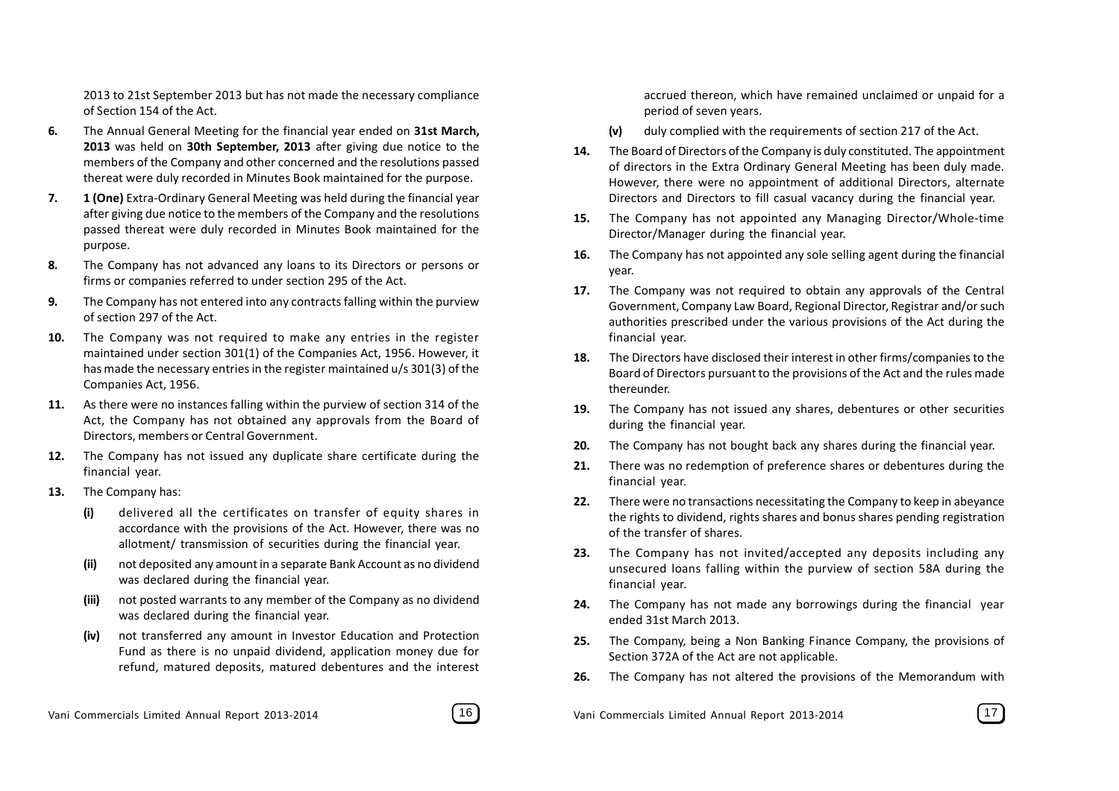2013 to 21st September 2013 but has not made the necessary compliance of Section 154 of the Act.

- **6.** The Annual General Meeting for the financial year ended on **31st March, 2013** was held on **30th September, 2013** after giving due notice to the members of the Company and other concerned and the resolutions passed thereat were duly recorded in Minutes Book maintained for the purpose.
- **7. 1 (One)** Extra-Ordinary General Meeting was held during the financial year after giving due notice to the members of the Company and the resolutions passed thereat were duly recorded in Minutes Book maintained for the purpose.
- **8.** The Company has not advanced any loans to its Directors or persons or firms or companies referred to under section 295 of the Act.
- **9.** The Company has not entered into any contracts falling within the purview of section 297 of the Act.
- **10.** The Company was not required to make any entries in the register maintained under section 301(1) of the Companies Act, 1956. However, it has made the necessary entries in the register maintained u/s 301(3) of the Companies Act, 1956.
- **11.** As there were no instances falling within the purview of section 314 of the Act, the Company has not obtained any approvals from the Board of Directors, members or Central Government.
- **12.** The Company has not issued any duplicate share certificate during the financial year.
- **13.** The Company has:
	- **(i)** delivered all the certificates on transfer of equity shares in accordance with the provisions of the Act. However, there was no allotment/ transmission of securities during the financial year.
	- **(ii)** not deposited any amount in a separate Bank Account as no dividend was declared during the financial year.
	- **(iii)** not posted warrants to any member of the Company as no dividend was declared during the financial year.
	- **(iv)** not transferred any amount in Investor Education and Protection Fund as there is no unpaid dividend, application money due for refund, matured deposits, matured debentures and the interest



accrued thereon, which have remained unclaimed or unpaid for a period of seven years.

- **(v)** duly complied with the requirements of section 217 of the Act.
- **14.** The Board of Directors of the Company is duly constituted. The appointment of directors in the Extra Ordinary General Meeting has been duly made. However, there were no appointment of additional Directors, alternate Directors and Directors to fill casual vacancy during the financial year.
- **15.** The Company has not appointed any Managing Director/Whole-time Director/Manager during the financial year.
- **16.** The Company has not appointed any sole selling agent during the financial year.
- **17.** The Company was not required to obtain any approvals of the Central Government, Company Law Board, Regional Director, Registrar and/or such authorities prescribed under the various provisions of the Act during the financial year.
- **18.** The Directors have disclosed their interest in other firms/companies to the Board of Directors pursuant to the provisions of the Act and the rules made thereunder.
- **19.** The Company has not issued any shares, debentures or other securities during the financial year.
- **20.** The Company has not bought back any shares during the financial year.
- **21.** There was no redemption of preference shares or debentures during the financial year.
- **22.** There were no transactions necessitating the Company to keep in abeyance the rights to dividend, rights shares and bonus shares pending registration of the transfer of shares.
- **23.** The Company has not invited/accepted any deposits including any unsecured loans falling within the purview of section 58A during the financial year.
- **24.** The Company has not made any borrowings during the financial year ended 31st March 2013.
- **25.** The Company, being a Non Banking Finance Company, the provisions of Section 372A of the Act are not applicable.
- **26.** The Company has not altered the provisions of the Memorandum with

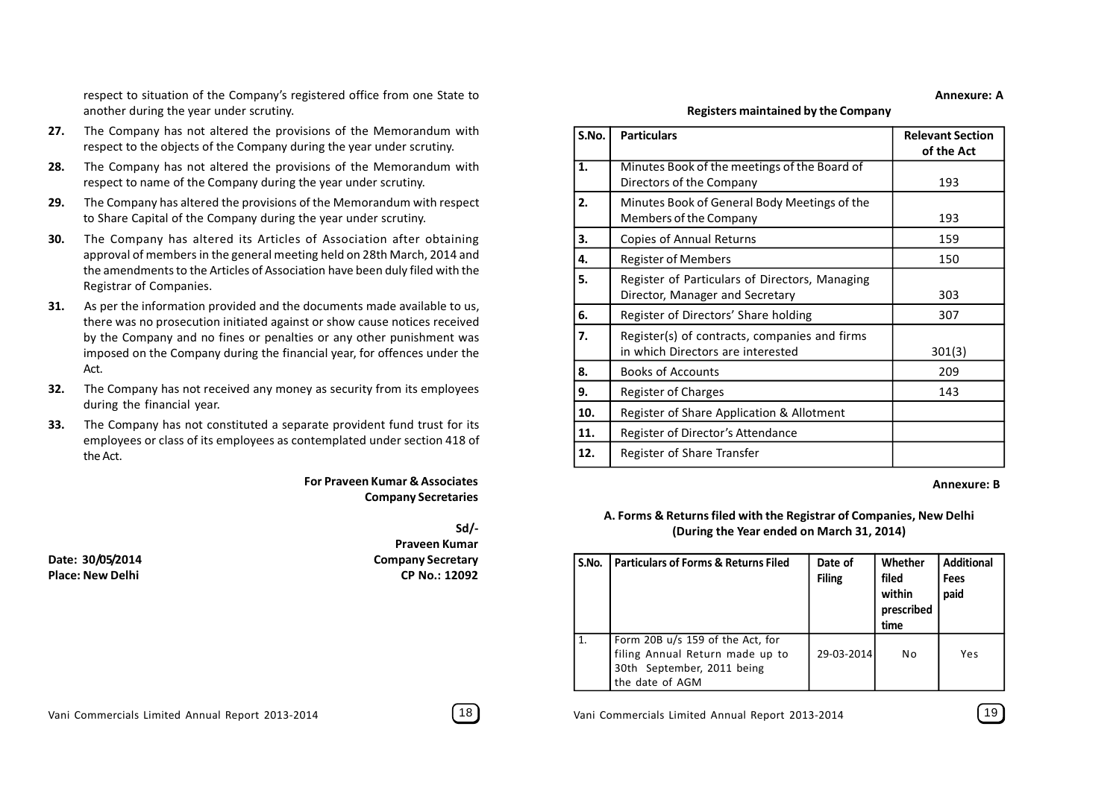respect to situation of the Company's registered office from one State to another during the year under scrutiny.

- **27.** The Company has not altered the provisions of the Memorandum with respect to the objects of the Company during the year under scrutiny.
- **28.** The Company has not altered the provisions of the Memorandum with respect to name of the Company during the year under scrutiny.
- **29.** The Company has altered the provisions of the Memorandum with respect to Share Capital of the Company during the year under scrutiny.
- **30.** The Company has altered its Articles of Association after obtaining approval of members in the general meeting held on 28th March, 2014 and the amendments to the Articles of Association have been duly filed with the Registrar of Companies.
- **31.** As per the information provided and the documents made available to us, there was no prosecution initiated against or show cause notices received by the Company and no fines or penalties or any other punishment was imposed on the Company during the financial year, for offences under the Act.
- **32.** The Company has not received any money as security from its employees during the financial year.
- **33.** The Company has not constituted a separate provident fund trust for its employees or class of its employees as contemplated under section 418 of the Act.

#### **For Praveen Kumar & Associates Company Secretaries**

**Sd/- Praveen Kumar Date: 30/05/2014 Company Secretary Place: New Delhi CP No.: 12092** **Registers maintained by the Company**

| S.No. | <b>Particulars</b>                                                                 | <b>Relevant Section</b><br>of the Act |
|-------|------------------------------------------------------------------------------------|---------------------------------------|
| 1.    | Minutes Book of the meetings of the Board of<br>Directors of the Company           | 193                                   |
| 2.    | Minutes Book of General Body Meetings of the<br>Members of the Company             | 193                                   |
| 3.    | Copies of Annual Returns                                                           | 159                                   |
| 4.    | <b>Register of Members</b>                                                         | 150                                   |
| 5.    | Register of Particulars of Directors, Managing<br>Director, Manager and Secretary  | 303                                   |
| 6.    | Register of Directors' Share holding                                               | 307                                   |
| 7.    | Register(s) of contracts, companies and firms<br>in which Directors are interested | 301(3)                                |
| 8.    | <b>Books of Accounts</b>                                                           | 209                                   |
| 9.    | Register of Charges                                                                | 143                                   |
| 10.   | Register of Share Application & Allotment                                          |                                       |
| 11.   | Register of Director's Attendance                                                  |                                       |
| 12.   | Register of Share Transfer                                                         |                                       |

#### **Annexure: B**

**Annexure: A**

#### **A. Forms & Returns filed with the Registrar of Companies, New Delhi (During the Year ended on March 31, 2014)**

| S.No. | <b>Particulars of Forms &amp; Returns Filed</b>                                                                        | Date of<br><b>Filing</b> | Whether<br>filed<br>within<br>prescribed<br>time | <b>Additional</b><br>Fees<br>paid |
|-------|------------------------------------------------------------------------------------------------------------------------|--------------------------|--------------------------------------------------|-----------------------------------|
|       | Form 20B $u/s$ 159 of the Act, for<br>filing Annual Return made up to<br>30th September, 2011 being<br>the date of AGM | 29-03-2014               | No                                               | Yes                               |

Vani Commercials Limited Annual Report 2013-2014 [18] Vani Commercials Limited Annual Report 2013-2014 [19]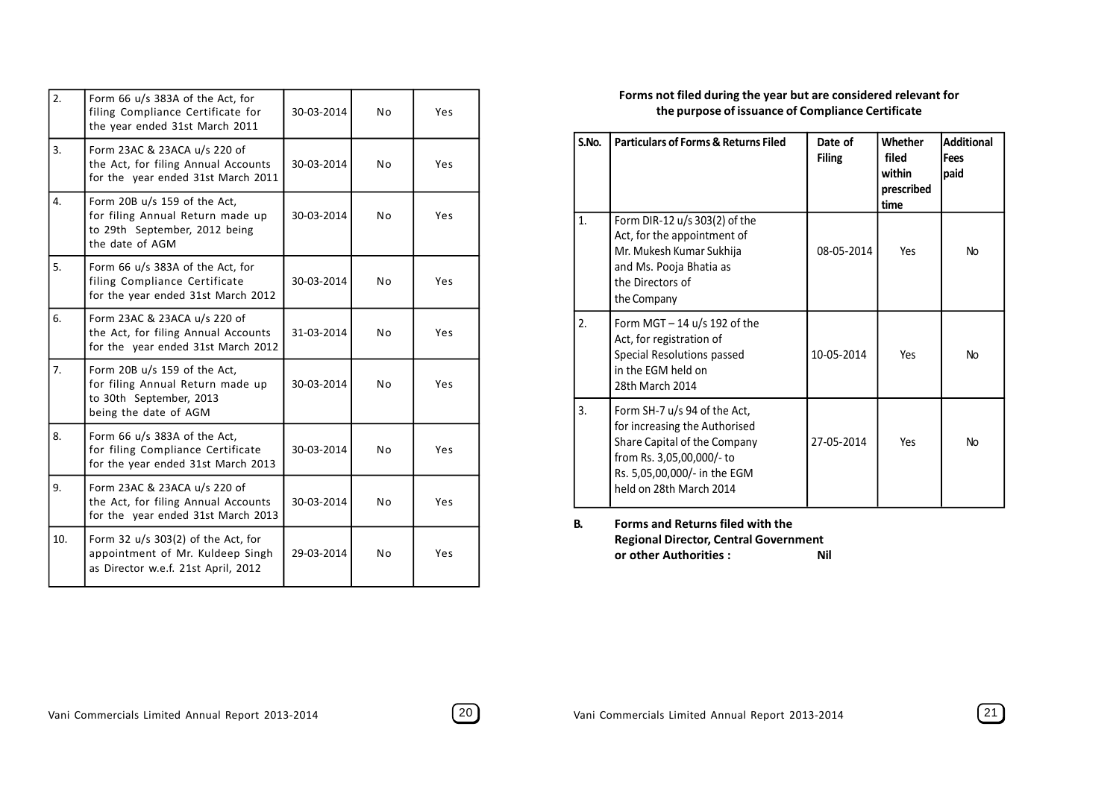| 2.  | Form 66 u/s 383A of the Act, for<br>filing Compliance Certificate for<br>the year ended 31st March 2011              | 30-03-2014 | N <sub>o</sub> | Yes |
|-----|----------------------------------------------------------------------------------------------------------------------|------------|----------------|-----|
| 3.  | Form 23AC & 23ACA u/s 220 of<br>the Act, for filing Annual Accounts<br>for the year ended 31st March 2011            | 30-03-2014 | N <sub>0</sub> | Yes |
| 4.  | Form 20B u/s 159 of the Act,<br>for filing Annual Return made up<br>to 29th September, 2012 being<br>the date of AGM | 30-03-2014 | N <sub>o</sub> | Yes |
| 5.  | Form 66 u/s 383A of the Act, for<br>filing Compliance Certificate<br>for the year ended 31st March 2012              | 30-03-2014 | N <sub>0</sub> | Yes |
| 6.  | Form 23AC & 23ACA u/s 220 of<br>the Act, for filing Annual Accounts<br>for the year ended 31st March 2012            | 31-03-2014 | N <sub>0</sub> | Yes |
| 7.  | Form 20B u/s 159 of the Act,<br>for filing Annual Return made up<br>to 30th September, 2013<br>being the date of AGM | 30-03-2014 | N <sub>0</sub> | Yes |
| 8.  | Form 66 u/s 383A of the Act,<br>for filing Compliance Certificate<br>for the year ended 31st March 2013              | 30-03-2014 | N <sub>o</sub> | Yes |
| 9.  | Form 23AC & 23ACA u/s 220 of<br>the Act, for filing Annual Accounts<br>for the year ended 31st March 2013            | 30-03-2014 | N <sub>0</sub> | Yes |
| 10. | Form 32 $u/s$ 303(2) of the Act, for<br>appointment of Mr. Kuldeep Singh<br>as Director w.e.f. 21st April, 2012      | 29-03-2014 | N <sub>o</sub> | Yes |

#### **Forms not filed during the year but are considered relevant for the purpose of issuance of Compliance Certificate**

| S.No. | <b>Particulars of Forms &amp; Returns Filed</b>                                                                                                                                       | Date of<br><b>Filing</b> | Whether<br>filed<br>within<br>prescribed<br>time | <b>Additional</b><br>Fees<br>paid |
|-------|---------------------------------------------------------------------------------------------------------------------------------------------------------------------------------------|--------------------------|--------------------------------------------------|-----------------------------------|
| 1.    | Form DIR-12 $u/s$ 303(2) of the<br>Act, for the appointment of<br>Mr. Mukesh Kumar Sukhija<br>and Ms. Pooja Bhatia as<br>the Directors of<br>the Company                              | 08-05-2014               | Yes                                              | <b>No</b>                         |
| 2.    | Form MGT $-$ 14 u/s 192 of the<br>Act, for registration of<br>Special Resolutions passed<br>in the FGM held on<br>28th March 2014                                                     | 10-05-2014               | Yes                                              | <b>No</b>                         |
| 3.    | Form SH-7 u/s 94 of the Act,<br>for increasing the Authorised<br>Share Capital of the Company<br>from Rs. 3,05,00,000/- to<br>Rs. 5,05,00,000/- in the EGM<br>held on 28th March 2014 | 27-05-2014               | Yes                                              | <b>No</b>                         |

**B. Forms and Returns filed with the Regional Director, Central Government or other Authorities : Nil**

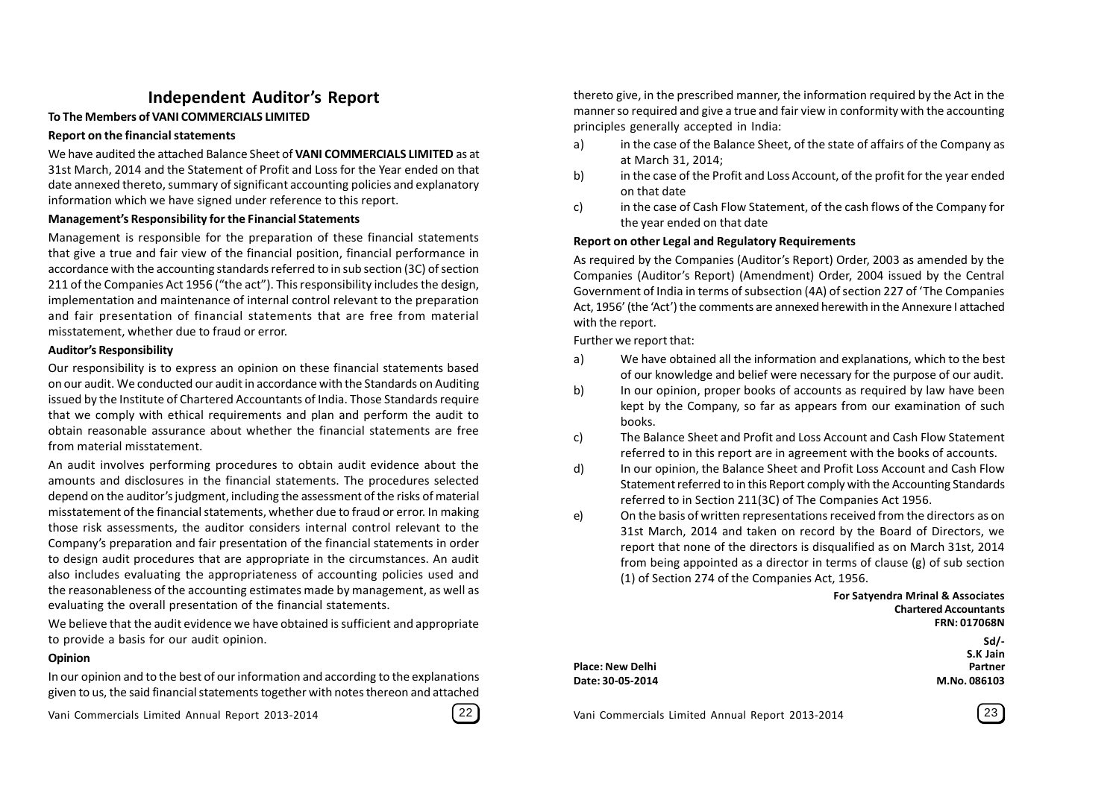#### **Independent Auditor's Report**

#### **To The Members of VANI COMMERCIALS LIMITED**

#### **Report on the financial statements**

We have audited the attached Balance Sheet of **VANI COMMERCIALS LIMITED** as at 31st March, 2014 and the Statement of Profit and Loss for the Year ended on that date annexed thereto, summary of significant accounting policies and explanatory information which we have signed under reference to this report.

#### **Management's Responsibility for the Financial Statements**

Management is responsible for the preparation of these financial statements that give a true and fair view of the financial position, financial performance in accordance with the accounting standards referred to in sub section (3C) of section 211 of the Companies Act 1956 ("the act"). This responsibility includes the design, implementation and maintenance of internal control relevant to the preparation and fair presentation of financial statements that are free from material misstatement, whether due to fraud or error.

#### **Auditor's Responsibility**

Our responsibility is to express an opinion on these financial statements based on our audit. We conducted our audit in accordance with the Standards on Auditing issued by the Institute of Chartered Accountants of India. Those Standards require that we comply with ethical requirements and plan and perform the audit to obtain reasonable assurance about whether the financial statements are free from material misstatement.

An audit involves performing procedures to obtain audit evidence about the amounts and disclosures in the financial statements. The procedures selected depend on the auditor's judgment, including the assessment of the risks of material misstatement of the financial statements, whether due to fraud or error. In making those risk assessments, the auditor considers internal control relevant to the Company's preparation and fair presentation of the financial statements in order to design audit procedures that are appropriate in the circumstances. An audit also includes evaluating the appropriateness of accounting policies used and the reasonableness of the accounting estimates made by management, as well as evaluating the overall presentation of the financial statements.

We believe that the audit evidence we have obtained is sufficient and appropriate to provide a basis for our audit opinion.

#### **Opinion**

In our opinion and to the best of our information and according to the explanations given to us, the said financial statements together with notes thereon and attached

Vani Commercials Limited Annual Report 2013-2014 22 Vani Commercials Limited Annual Report 2013-2014 23

|--|

thereto give, in the prescribed manner, the information required by the Act in the manner so required and give a true and fair view in conformity with the accounting principles generally accepted in India:

- a) in the case of the Balance Sheet, of the state of affairs of the Company as at March 31, 2014;
- b) in the case of the Profit and Loss Account, of the profit for the year ended on that date
- c) in the case of Cash Flow Statement, of the cash flows of the Company for the year ended on that date

#### **Report on other Legal and Regulatory Requirements**

As required by the Companies (Auditor's Report) Order, 2003 as amended by the Companies (Auditor's Report) (Amendment) Order, 2004 issued by the Central Government of India in terms of subsection (4A) of section 227 of 'The Companies Act, 1956' (the 'Act') the comments are annexed herewith in the Annexure I attached with the report.

Further we report that:

- a) We have obtained all the information and explanations, which to the best of our knowledge and belief were necessary for the purpose of our audit.
- b) In our opinion, proper books of accounts as required by law have been kept by the Company, so far as appears from our examination of such books.
- c) The Balance Sheet and Profit and Loss Account and Cash Flow Statement referred to in this report are in agreement with the books of accounts.
- d) In our opinion, the Balance Sheet and Profit Loss Account and Cash Flow Statement referred to in this Report comply with the Accounting Standards referred to in Section 211(3C) of The Companies Act 1956.
- e) On the basis of written representations received from the directors as on 31st March, 2014 and taken on record by the Board of Directors, we report that none of the directors is disqualified as on March 31st, 2014 from being appointed as a director in terms of clause (g) of sub section (1) of Section 274 of the Companies Act, 1956.

**For Satyendra Mrinal & Associates Chartered Accountants FRN: 017068N Sd/-**

|                         | S.K Jain     |
|-------------------------|--------------|
| <b>Place: New Delhi</b> | Partner      |
| Date: 30-05-2014        | M.No. 086103 |

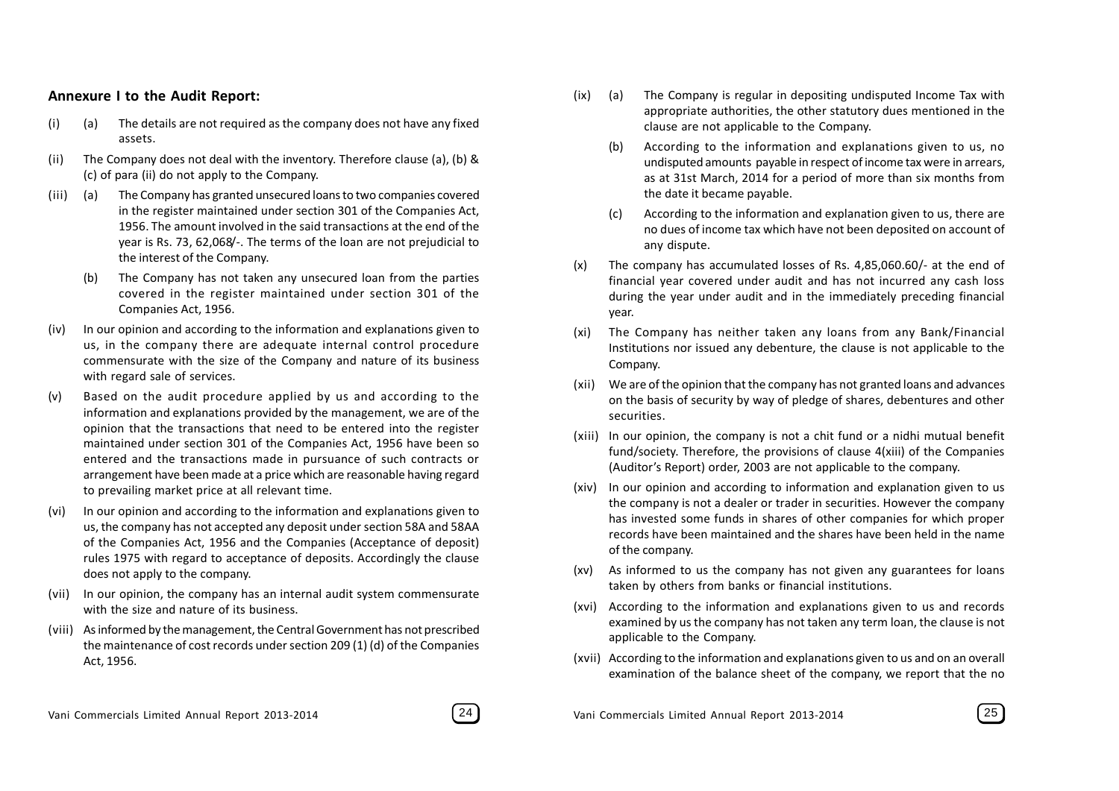#### **Annexure I to the Audit Report:**

- (i) (a) The details are not required as the company does not have any fixed assets.
- (ii) The Company does not deal with the inventory. Therefore clause (a), (b) & (c) of para (ii) do not apply to the Company.
- (iii) (a) The Company has granted unsecured loans to two companies covered in the register maintained under section 301 of the Companies Act, 1956. The amount involved in the said transactions at the end of the year is Rs. 73, 62,068/-. The terms of the loan are not prejudicial to the interest of the Company.
	- (b) The Company has not taken any unsecured loan from the parties covered in the register maintained under section 301 of the Companies Act, 1956.
- (iv) In our opinion and according to the information and explanations given to us, in the company there are adequate internal control procedure commensurate with the size of the Company and nature of its business with regard sale of services.
- (v) Based on the audit procedure applied by us and according to the information and explanations provided by the management, we are of the opinion that the transactions that need to be entered into the register maintained under section 301 of the Companies Act, 1956 have been so entered and the transactions made in pursuance of such contracts or arrangement have been made at a price which are reasonable having regard to prevailing market price at all relevant time.
- (vi) In our opinion and according to the information and explanations given to us, the company has not accepted any deposit under section 58A and 58AA of the Companies Act, 1956 and the Companies (Acceptance of deposit) rules 1975 with regard to acceptance of deposits. Accordingly the clause does not apply to the company.
- (vii) In our opinion, the company has an internal audit system commensurate with the size and nature of its business.
- (viii) As informed by the management, the Central Government has not prescribed the maintenance of cost records under section 209 (1) (d) of the Companies Act, 1956.
- (ix) (a) The Company is regular in depositing undisputed Income Tax with appropriate authorities, the other statutory dues mentioned in the clause are not applicable to the Company.
	- (b) According to the information and explanations given to us, no undisputed amounts payable in respect of income tax were in arrears, as at 31st March, 2014 for a period of more than six months from the date it became payable.
	- According to the information and explanation given to us, there are no dues of income tax which have not been deposited on account of any dispute.
- (x) The company has accumulated losses of Rs. 4,85,060.60/- at the end of financial year covered under audit and has not incurred any cash loss during the year under audit and in the immediately preceding financial year.
- (xi) The Company has neither taken any loans from any Bank/Financial Institutions nor issued any debenture, the clause is not applicable to the Company.
- (xii) We are of the opinion that the company has not granted loans and advances on the basis of security by way of pledge of shares, debentures and other securities.
- (xiii) In our opinion, the company is not a chit fund or a nidhi mutual benefit fund/society. Therefore, the provisions of clause 4(xiii) of the Companies (Auditor's Report) order, 2003 are not applicable to the company.
- (xiv) In our opinion and according to information and explanation given to us the company is not a dealer or trader in securities. However the company has invested some funds in shares of other companies for which proper records have been maintained and the shares have been held in the name of the company.
- (xv) As informed to us the company has not given any guarantees for loans taken by others from banks or financial institutions.
- (xvi) According to the information and explanations given to us and records examined by us the company has not taken any term loan, the clause is not applicable to the Company.
- (xvii) According to the information and explanations given to us and on an overall examination of the balance sheet of the company, we report that the no



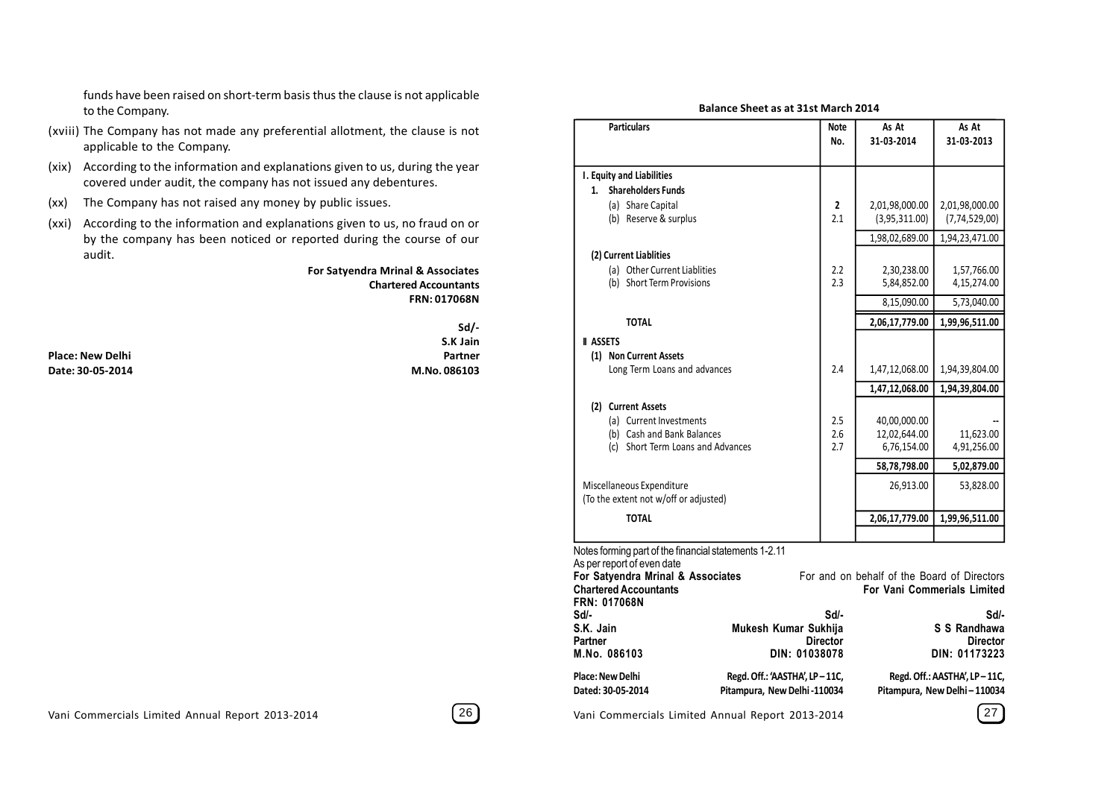funds have been raised on short-term basis thus the clause is not applicable to the Company.

- (xviii) The Company has not made any preferential allotment, the clause is not applicable to the Company.
- (xix) According to the information and explanations given to us, during the year covered under audit, the company has not issued any debentures.
- (xx) The Company has not raised any money by public issues.
- (xxi) According to the information and explanations given to us, no fraud on or by the company has been noticed or reported during the course of our audit.

#### **For Satyendra Mrinal & Associates Chartered Accountants FRN: 017068N**

**Place: New Delhi Partner Date: 30-05-2014 M.No. 086103**

 **Sd/- S.K Jain**

| <b>Particulars</b>                                                                                                                                                                                   |                                                              | <b>Note</b><br>No. | As At<br>31-03-2014                                                               | As At<br>31-03-2013             |
|------------------------------------------------------------------------------------------------------------------------------------------------------------------------------------------------------|--------------------------------------------------------------|--------------------|-----------------------------------------------------------------------------------|---------------------------------|
| I. Equity and Liabilities                                                                                                                                                                            |                                                              |                    |                                                                                   |                                 |
| <b>Shareholders Funds</b><br>1.                                                                                                                                                                      |                                                              |                    |                                                                                   |                                 |
| (a) Share Capital<br>(b) Reserve & surplus                                                                                                                                                           |                                                              | 2<br>2.1           | 2,01,98,000.00<br>(3,95,311.00)                                                   | 2,01,98,000.00<br>(7,74,529,00) |
|                                                                                                                                                                                                      |                                                              |                    | 1,98,02,689.00                                                                    | 1,94,23,471.00                  |
| (2) Current Liablities                                                                                                                                                                               |                                                              |                    |                                                                                   |                                 |
| (a) Other Current Liablities<br>(b) Short Term Provisions                                                                                                                                            |                                                              | 2.2<br>2.3         | 2,30,238.00<br>5,84,852.00                                                        | 1,57,766.00<br>4,15,274.00      |
|                                                                                                                                                                                                      |                                                              |                    | 8,15,090.00                                                                       | 5,73,040.00                     |
| <b>TOTAL</b>                                                                                                                                                                                         |                                                              |                    | 2,06,17,779.00                                                                    | 1,99,96,511.00                  |
| <b>II ASSETS</b>                                                                                                                                                                                     |                                                              |                    |                                                                                   |                                 |
| (1) Non Current Assets                                                                                                                                                                               |                                                              |                    |                                                                                   |                                 |
| Long Term Loans and advances                                                                                                                                                                         |                                                              | 2.4                | 1,47,12,068.00                                                                    | 1,94,39,804.00                  |
|                                                                                                                                                                                                      |                                                              |                    | 1,47,12,068.00                                                                    | 1,94,39,804.00                  |
| (2) Current Assets<br>(a) Current Investments<br>(b) Cash and Bank Balances<br>(c) Short Term Loans and Advances                                                                                     |                                                              | 2.5<br>2.6<br>2.7  | 40,00,000.00<br>12,02,644.00<br>6,76,154.00                                       | 11,623.00<br>4,91,256.00        |
|                                                                                                                                                                                                      |                                                              |                    | 58,78,798.00                                                                      | 5,02,879.00                     |
| Miscellaneous Expenditure<br>(To the extent not w/off or adjusted)                                                                                                                                   |                                                              |                    | 26,913.00                                                                         | 53,828.00                       |
| <b>TOTAL</b>                                                                                                                                                                                         |                                                              |                    | 2,06,17,779.00                                                                    | 1,99,96,511.00                  |
| Notes forming part of the financial statements 1-2.11<br>As per report of even date<br>For Satyendra Mrinal & Associates<br><b>Chartered Accountants</b><br><b>FRN: 017068N</b><br>Sd/-<br>S.K. Jain | Mukesh Kumar Sukhija                                         | Sd/-               | For and on behalf of the Board of Directors<br><b>For Vani Commerials Limited</b> | Sd/-<br>S S Randhawa            |
| Partner<br>M.No. 086103                                                                                                                                                                              | DIN: 01038078                                                | <b>Director</b>    | <b>Director</b><br>DIN: 01173223                                                  |                                 |
| Place: New Delhi<br>Dated: 30-05-2014                                                                                                                                                                | Regd. Off.: 'AASTHA', LP-11C,<br>Pitampura, New Delhi-110034 |                    | Regd. Off.: AASTHA', LP-11C,<br>Pitampura, New Delhi-110034                       |                                 |

**Balance Sheet as at 31st March 2014**

Vani Commercials Limited Annual Report 2013-2014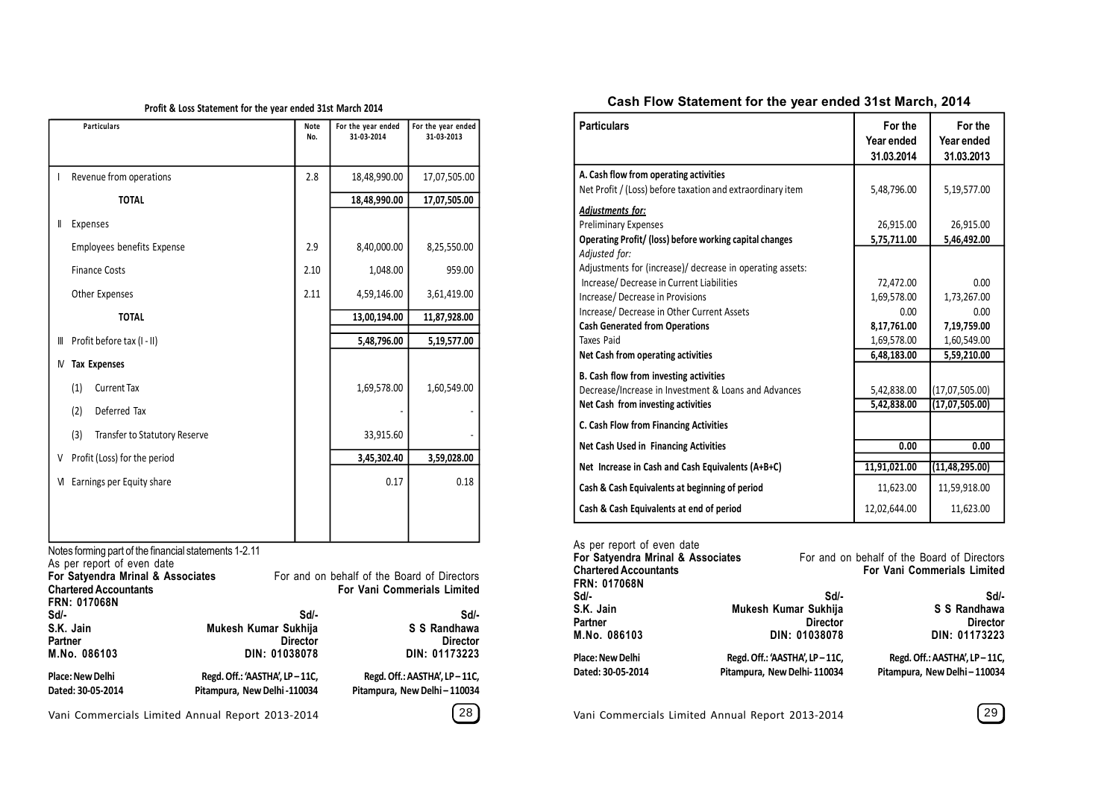#### **Profit & Loss Statement for the year ended 31st March 2014**

|    | <b>Particulars</b>                          | Note<br>No. | For the year ended<br>31-03-2014 | For the year ended<br>31-03-2013 |
|----|---------------------------------------------|-------------|----------------------------------|----------------------------------|
|    |                                             |             |                                  |                                  |
|    | Revenue from operations                     | 2.8         | 18,48,990.00                     | 17,07,505.00                     |
|    | <b>TOTAL</b>                                |             | 18,48,990.00                     | 17,07,505.00                     |
| II | Expenses                                    |             |                                  |                                  |
|    | Employees benefits Expense                  | 2.9         | 8,40,000.00                      | 8,25,550.00                      |
|    | <b>Finance Costs</b>                        | 2.10        | 1,048.00                         | 959.00                           |
|    | Other Expenses                              | 2.11        | 4,59,146.00                      | 3,61,419.00                      |
|    | <b>TOTAL</b>                                |             | 13,00,194.00                     | 11,87,928.00                     |
| Ⅲ  | Profit before tax (I - II)                  |             | 5,48,796.00                      | 5,19,577.00                      |
| M  | <b>Tax Expenses</b>                         |             |                                  |                                  |
|    | <b>Current Tax</b><br>(1)                   |             | 1,69,578.00                      | 1,60,549.00                      |
|    | (2)<br>Deferred Tax                         |             |                                  |                                  |
|    | (3)<br><b>Transfer to Statutory Reserve</b> |             | 33,915.60                        |                                  |
| V  | Profit (Loss) for the period                |             | 3,45,302.40                      | 3,59,028.00                      |
| M  | Earnings per Equity share                   |             | 0.17                             | 0.18                             |
|    |                                             |             |                                  |                                  |
|    |                                             |             |                                  |                                  |

Notes forming part of the financial statements 1-2.11

As per report of even date

| For Satyendra Mrinal & Associates                   |                               | For and on behalf of the Board of Directors |
|-----------------------------------------------------|-------------------------------|---------------------------------------------|
| <b>Chartered Accountants</b><br><b>FRN: 017068N</b> |                               | <b>For Vani Commerials Limited</b>          |
| Sd/-                                                | Sd/-                          | Sd/-                                        |
| S.K. Jain                                           | Mukesh Kumar Sukhija          | S S Randhawa                                |
| <b>Partner</b>                                      | <b>Director</b>               | <b>Director</b>                             |
| M.No. 086103                                        | DIN: 01038078                 | DIN: 01173223                               |
| <b>Place: New Delhi</b>                             | Regd. Off.: 'AASTHA', LP-11C, | Regd. Off.: AASTHA', LP-11C,                |
| Dated: 30-05-2014                                   | Pitampura, New Delhi -110034  | Pitampura, New Delhi - 110034               |
|                                                     |                               |                                             |

Vani Commercials Limited Annual Report 2013-2014

#### **Cash Flow Statement for the year ended 31st March, 2014**

| <b>Particulars</b>                                                                                                                                                                                      | For the<br>Year ended<br>31.03.2014       | For the<br>Year ended<br>31.03.2013       |
|---------------------------------------------------------------------------------------------------------------------------------------------------------------------------------------------------------|-------------------------------------------|-------------------------------------------|
| A. Cash flow from operating activities<br>Net Profit / (Loss) before taxation and extraordinary item                                                                                                    | 5,48,796.00                               | 5,19,577.00                               |
| <b>Adjustments for:</b><br><b>Preliminary Expenses</b><br>Operating Profit/ (loss) before working capital changes                                                                                       | 26,915.00<br>5,75,711.00                  | 26,915.00<br>5,46,492.00                  |
| Adjusted for:<br>Adjustments for (increase)/ decrease in operating assets:<br>Increase/Decrease in Current Liabilities<br>Increase/Decrease in Provisions<br>Increase/ Decrease in Other Current Assets | 72,472.00<br>1,69,578.00<br>0.00          | 0.00<br>1,73,267.00<br>0.00               |
| <b>Cash Generated from Operations</b><br><b>Taxes Paid</b><br>Net Cash from operating activities                                                                                                        | 8,17,761.00<br>1,69,578.00<br>6,48,183.00 | 7,19,759.00<br>1,60,549.00<br>5,59,210.00 |
| B. Cash flow from investing activities<br>Decrease/Increase in Investment & Loans and Advances<br>Net Cash from investing activities                                                                    | 5,42,838.00<br>5,42,838.00                | (17,07,505.00)<br>(17,07,505.00)          |
| C. Cash Flow from Financing Activities                                                                                                                                                                  |                                           |                                           |
| <b>Net Cash Used in Financing Activities</b>                                                                                                                                                            | 0.00                                      | 0.00                                      |
| Net Increase in Cash and Cash Equivalents (A+B+C)                                                                                                                                                       | 11,91,021.00                              | (11,48,295.00)                            |
| Cash & Cash Equivalents at beginning of period                                                                                                                                                          | 11,623.00                                 | 11,59,918.00                              |
| Cash & Cash Equivalents at end of period                                                                                                                                                                | 12,02,644.00                              | 11,623.00                                 |

| As per report of even date        |                               |                                             |
|-----------------------------------|-------------------------------|---------------------------------------------|
| For Satyendra Mrinal & Associates |                               | For and on behalf of the Board of Directors |
| <b>Chartered Accountants</b>      |                               | <b>For Vani Commerials Limited</b>          |
| FRN: 017068N                      |                               |                                             |
| Sd/-                              | Sd/-                          | Sd/-                                        |
| S.K. Jain                         | Mukesh Kumar Sukhija          | S S Randhawa                                |
| Partner                           | <b>Director</b>               | <b>Director</b>                             |
| M.No. 086103                      | DIN: 01038078                 | DIN: 01173223                               |
| Place: New Delhi                  | Regd. Off.: 'AASTHA', LP-11C, | Regd. Off.: AASTHA', LP-11C,                |
| Dated: 30-05-2014                 | Pitampura, New Delhi-110034   | Pitampura, New Delhi - 110034               |
|                                   |                               |                                             |

Vani Commercials Limited Annual Report 2013-2014 29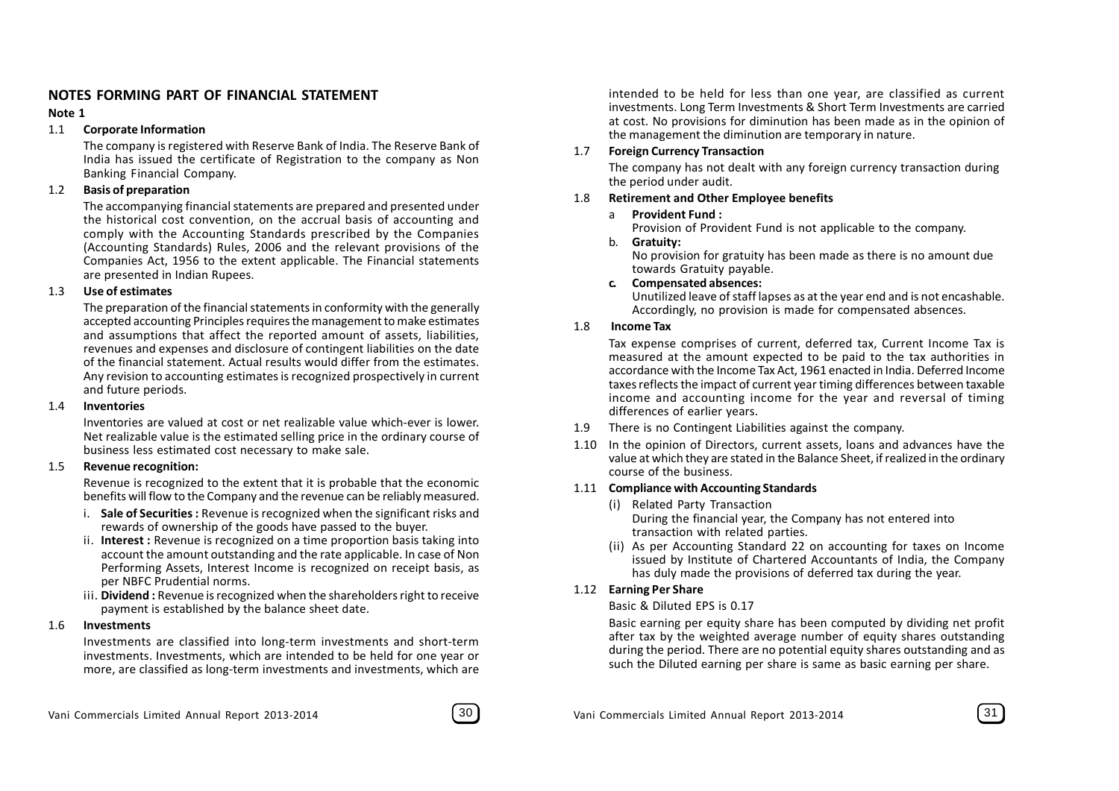#### **NOTES FORMING PART OF FINANCIAL STATEMENT**

#### **Note 1**

#### 1.1 **Corporate Information**

The company is registered with Reserve Bank of India. The Reserve Bank of India has issued the certificate of Registration to the company as Non Banking Financial Company.

#### 1.2 **Basis of preparation**

The accompanying financial statements are prepared and presented under the historical cost convention, on the accrual basis of accounting and comply with the Accounting Standards prescribed by the Companies (Accounting Standards) Rules, 2006 and the relevant provisions of the Companies Act, 1956 to the extent applicable. The Financial statements are presented in Indian Rupees.

#### 1.3 **Use of estimates**

The preparation of the financial statements in conformity with the generally accepted accounting Principles requires the management to make estimates and assumptions that affect the reported amount of assets, liabilities, revenues and expenses and disclosure of contingent liabilities on the date of the financial statement. Actual results would differ from the estimates. Any revision to accounting estimates is recognized prospectively in current and future periods.

#### 1.4 **Inventories**

Inventories are valued at cost or net realizable value which-ever is lower. Net realizable value is the estimated selling price in the ordinary course of business less estimated cost necessary to make sale.

#### 1.5 **Revenue recognition:**

Revenue is recognized to the extent that it is probable that the economic benefits will flow to the Company and the revenue can be reliably measured.

- i. **Sale of Securities :** Revenue is recognized when the significant risks and rewards of ownership of the goods have passed to the buyer.
- ii. **Interest :** Revenue is recognized on a time proportion basis taking into account the amount outstanding and the rate applicable. In case of Non Performing Assets, Interest Income is recognized on receipt basis, as per NBFC Prudential norms.
- iii. **Dividend :** Revenue is recognized when the shareholders right to receive payment is established by the balance sheet date.

#### 1.6 **Investments**

Investments are classified into long-term investments and short-term investments. Investments, which are intended to be held for one year or more, are classified as long-term investments and investments, which are intended to be held for less than one year, are classified as current investments. Long Term Investments & Short Term Investments are carried at cost. No provisions for diminution has been made as in the opinion of the management the diminution are temporary in nature.

#### 1.7 **Foreign Currency Transaction**

The company has not dealt with any foreign currency transaction during the period under audit.

#### 1.8 **Retirement and Other Employee benefits**

#### a **Provident Fund :**

Provision of Provident Fund is not applicable to the company.

#### b. **Gratuity:**

No provision for gratuity has been made as there is no amount due towards Gratuity payable.

**c. Compensated absences:**

Unutilized leave of staff lapses as at the year end and is not encashable. Accordingly, no provision is made for compensated absences.

#### 1.8 **Income Tax**

Tax expense comprises of current, deferred tax, Current Income Tax is measured at the amount expected to be paid to the tax authorities in accordance with the Income Tax Act, 1961 enacted in India. Deferred Income taxes reflects the impact of current year timing differences between taxable income and accounting income for the year and reversal of timing differences of earlier years.

- 1.9 There is no Contingent Liabilities against the company.
- 1.10 In the opinion of Directors, current assets, loans and advances have the value at which they are stated in the Balance Sheet, if realized in the ordinary course of the business.

#### 1.11 **Compliance with Accounting Standards**

- (i) Related Party Transaction During the financial year, the Company has not entered into transaction with related parties.
- (ii) As per Accounting Standard 22 on accounting for taxes on Income issued by Institute of Chartered Accountants of India, the Company has duly made the provisions of deferred tax during the year.

#### 1.12 **Earning Per Share**

#### Basic & Diluted EPS is 0.17

Basic earning per equity share has been computed by dividing net profit after tax by the weighted average number of equity shares outstanding during the period. There are no potential equity shares outstanding and as such the Diluted earning per share is same as basic earning per share.

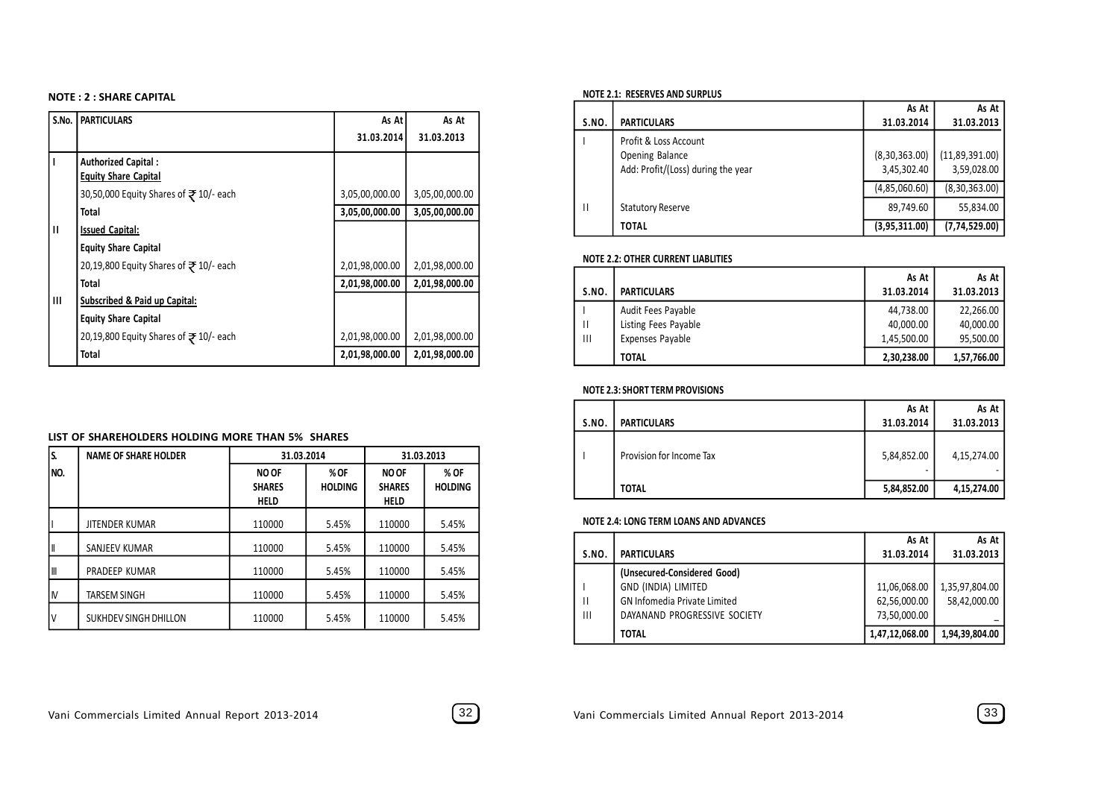#### **NOTE : 2 : SHARE CAPITAL**

| S.No. | <b>PARTICULARS</b>                                        | As At          | As At          |
|-------|-----------------------------------------------------------|----------------|----------------|
|       |                                                           | 31.03.2014     | 31.03.2013     |
|       | <b>Authorized Capital:</b><br><b>Equity Share Capital</b> |                |                |
|       | 30,50,000 Equity Shares of ₹ 10/- each                    | 3,05,00,000.00 | 3,05,00,000.00 |
|       | <b>Total</b>                                              | 3,05,00,000.00 | 3,05,00,000.00 |
| п     | <b>Issued Capital:</b>                                    |                |                |
|       | <b>Equity Share Capital</b>                               |                |                |
|       | 20,19,800 Equity Shares of ₹ 10/- each                    | 2,01,98,000.00 | 2,01,98,000.00 |
|       | <b>Total</b>                                              | 2,01,98,000.00 | 2,01,98,000.00 |
| Ш     | Subscribed & Paid up Capital:                             |                |                |
|       | <b>Equity Share Capital</b>                               |                |                |
|       | 20,19,800 Equity Shares of ₹ 10/- each                    | 2,01,98,000.00 | 2,01,98,000.00 |
|       | Total                                                     | 2,01,98,000.00 | 2,01,98,000.00 |

#### **LIST OF SHAREHOLDERS HOLDING MORE THAN 5% SHARES**

| s.   | <b>NAME OF SHARE HOLDER</b> |                                              | 31.03.2014             |                                              | 31.03.2013             |
|------|-----------------------------|----------------------------------------------|------------------------|----------------------------------------------|------------------------|
| INO. |                             | <b>NO OF</b><br><b>SHARES</b><br><b>HELD</b> | % OF<br><b>HOLDING</b> | <b>NO OF</b><br><b>SHARES</b><br><b>HELD</b> | % OF<br><b>HOLDING</b> |
|      | <b>JITENDER KUMAR</b>       | 110000                                       | 5.45%                  | 110000                                       | 5.45%                  |
| I    | SANJEEV KUMAR               | 110000                                       | 5.45%                  | 110000                                       | 5.45%                  |
| IШ   | PRADEEP KUMAR               | 110000                                       | 5.45%                  | 110000                                       | 5.45%                  |
| IM   | <b>TARSEM SINGH</b>         | 110000                                       | 5.45%                  | 110000                                       | 5.45%                  |
| I٧   | SUKHDEV SINGH DHILLON       | 110000                                       | 5.45%                  | 110000                                       | 5.45%                  |

#### **NOTE 2.1: RESERVES AND SURPLUS**

|       |                                    | As At         | As At           |
|-------|------------------------------------|---------------|-----------------|
| S.NO. | <b>PARTICULARS</b>                 | 31.03.2014    | 31.03.2013      |
|       | Profit & Loss Account              |               |                 |
|       | Opening Balance                    | (8,30,363.00) | (11,89,391.00)  |
|       | Add: Profit/(Loss) during the year | 3,45,302.40   | 3,59,028.00     |
|       |                                    | (4,85,060.60) | (8, 30, 363.00) |
| Ш     | <b>Statutory Reserve</b>           | 89,749.60     | 55,834.00       |
|       | <b>TOTAL</b>                       | (3,95,311.00) | (7, 74, 529.00) |

#### **NOTE 2.2: OTHER CURRENT LIABLITIES**

|              |                      | As At       | As At       |
|--------------|----------------------|-------------|-------------|
| <b>S.NO.</b> | <b>PARTICULARS</b>   | 31.03.2014  | 31.03.2013  |
|              | Audit Fees Payable   | 44,738.00   | 22,266.00   |
|              | Listing Fees Payable | 40,000.00   | 40,000.00   |
| Ш            | Expenses Payable     | 1,45,500.00 | 95,500.00   |
|              | <b>TOTAL</b>         | 2,30,238.00 | 1,57,766.00 |

#### **NOTE 2.3: SHORT TERM PROVISIONS**

| S.NO. | <b>PARTICULARS</b>       | As At<br>31.03.2014 | As At<br>31.03.2013 |
|-------|--------------------------|---------------------|---------------------|
|       | Provision for Income Tax | 5,84,852.00<br>۰    | 4,15,274.00         |
|       | <b>TOTAL</b>             | 5,84,852.00         | 4,15,274.00         |

#### **NOTE 2.4: LONG TERM LOANS AND ADVANCES**

|                |                                     | As At          | As At          |
|----------------|-------------------------------------|----------------|----------------|
| S.NO.          | <b>PARTICULARS</b>                  | 31.03.2014     | 31.03.2013     |
|                | (Unsecured-Considered Good)         |                |                |
|                | GND (INDIA) LIMITED                 | 11,06,068.00   | 1,35,97,804.00 |
| IШ             | <b>GN Infomedia Private Limited</b> | 62,56,000.00   | 58,42,000.00   |
| $\mathbf{III}$ | DAYANAND PROGRESSIVE SOCIETY        | 73,50,000.00   |                |
|                | <b>TOTAL</b>                        | 1,47,12,068.00 | 1,94,39,804.00 |

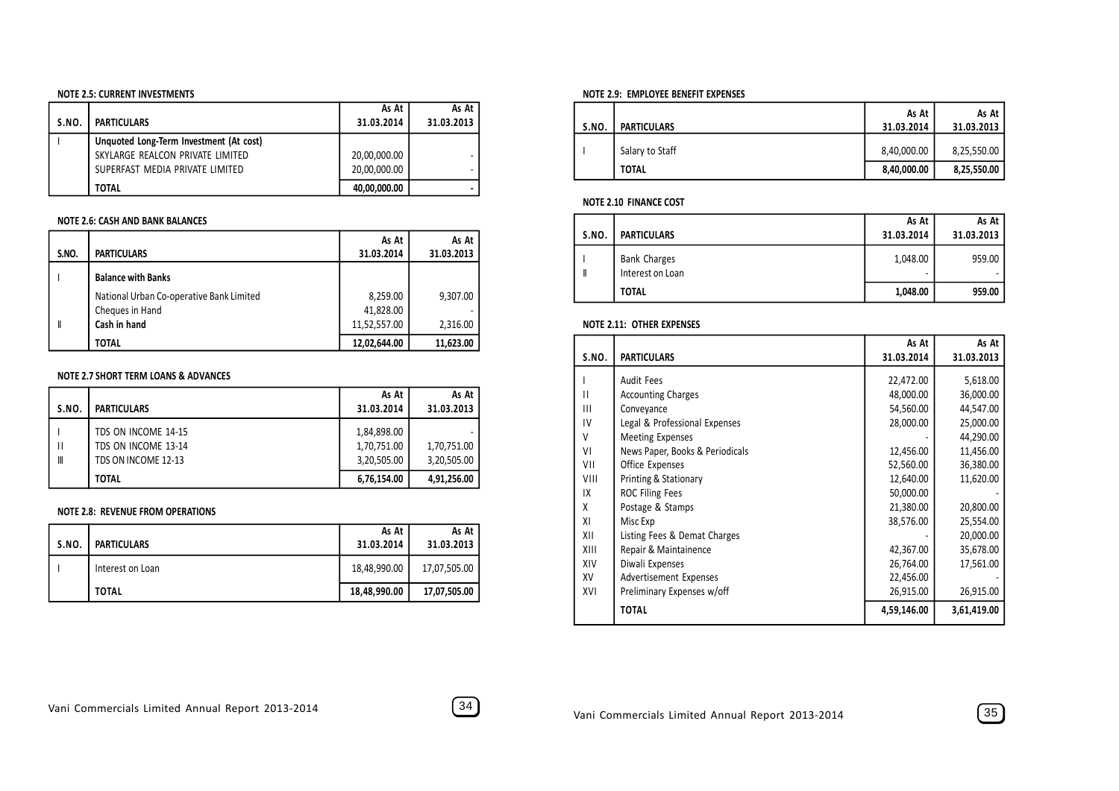#### **NOTE 2.5: CURRENT INVESTMENTS**

|       |                                         | As At        | As At      |
|-------|-----------------------------------------|--------------|------------|
| S.NO. | <b>PARTICULARS</b>                      | 31.03.2014   | 31.03.2013 |
|       | Unquoted Long-Term Investment (At cost) |              |            |
|       | SKYLARGE REALCON PRIVATE LIMITED        | 20,00,000.00 |            |
|       | SUPERFAST MEDIA PRIVATE LIMITED         | 20,00,000.00 |            |
|       | <b>TOTAL</b>                            | 40,00,000.00 |            |

#### **NOTE 2.6: CASH AND BANK BALANCES**

|       |                                          | As At        | As At      |
|-------|------------------------------------------|--------------|------------|
| S.NO. | <b>PARTICULARS</b>                       | 31.03.2014   | 31.03.2013 |
|       | <b>Balance with Banks</b>                |              |            |
|       | National Urban Co-operative Bank Limited | 8,259.00     | 9,307.00   |
|       | Cheques in Hand                          | 41,828.00    |            |
| I     | Cash in hand                             | 11,52,557.00 | 2,316.00   |
|       | <b>TOTAL</b>                             | 12,02,644.00 | 11.623.00  |

#### **NOTE 2.7 SHORT TERM LOANS & ADVANCES**

|        |                                                                   | As At                                     | As At                      |
|--------|-------------------------------------------------------------------|-------------------------------------------|----------------------------|
| S.NO.  | <b>PARTICULARS</b>                                                | 31.03.2014                                | 31.03.2013                 |
| Ш<br>Ⅲ | TDS ON INCOME 14-15<br>TDS ON INCOME 13-14<br>TDS ON INCOME 12-13 | 1,84,898.00<br>1,70,751.00<br>3,20,505.00 | 1,70,751.00<br>3,20,505.00 |
|        | <b>TOTAL</b>                                                      | 6,76,154.00                               | 4,91,256.00                |

#### **NOTE 2.8: REVENUE FROM OPERATIONS**

| S.NO. | <b>PARTICULARS</b> | As At<br>31.03.2014 | As At<br>31.03.2013 |
|-------|--------------------|---------------------|---------------------|
|       | Interest on Loan   | 18,48,990.00        | 17,07,505.00        |
|       | <b>TOTAL</b>       | 18,48,990.00        | 17,07,505.00        |

#### **NOTE 2.9: EMPLOYEE BENEFIT EXPENSES**

| S.NO. | <b>PARTICULARS</b> | As At<br>31.03.2014 | As At<br>31.03.2013 |
|-------|--------------------|---------------------|---------------------|
|       | Salary to Staff    | 8,40,000.00         | 8,25,550.00         |
|       | <b>TOTAL</b>       | 8,40,000.00         | 8,25,550.00         |

#### **NOTE 2.10 FINANCE COST**

| <b>S.NO.</b> | <b>PARTICULARS</b>                      | As At<br>31.03.2014 | As At<br>31.03.2013 |
|--------------|-----------------------------------------|---------------------|---------------------|
|              | <b>Bank Charges</b><br>Interest on Loan | 1,048.00<br>۰       | 959.00              |
|              | <b>TOTAL</b>                            | 1,048.00            | 959.00              |

#### **NOTE 2.11: OTHER EXPENSES**

|              |                                 | As At       | As At       |
|--------------|---------------------------------|-------------|-------------|
| <b>S.NO.</b> | <b>PARTICULARS</b>              | 31.03.2014  | 31.03.2013  |
|              | <b>Audit Fees</b>               | 22,472.00   | 5,618.00    |
| П            | <b>Accounting Charges</b>       | 48,000.00   | 36,000.00   |
| Ш            | Conveyance                      | 54,560.00   | 44,547.00   |
| IV           | Legal & Professional Expenses   | 28,000.00   | 25,000.00   |
| V            | <b>Meeting Expenses</b>         |             | 44,290.00   |
| ٧I           | News Paper, Books & Periodicals | 12,456.00   | 11,456.00   |
| VII          | Office Expenses                 | 52,560.00   | 36,380.00   |
| VIII         | Printing & Stationary           | 12,640.00   | 11,620.00   |
| IX           | <b>ROC Filing Fees</b>          | 50,000.00   |             |
| χ            | Postage & Stamps                | 21,380.00   | 20,800.00   |
| ΧI           | Misc Exp                        | 38,576.00   | 25,554.00   |
| XII          | Listing Fees & Demat Charges    |             | 20,000.00   |
| XIII         | Repair & Maintainence           | 42,367.00   | 35,678.00   |
| XIV          | Diwali Expenses                 | 26,764.00   | 17,561.00   |
| XV           | <b>Advertisement Expenses</b>   | 22,456.00   |             |
| XVI          | Preliminary Expenses w/off      | 26,915.00   | 26,915.00   |
|              | <b>TOTAL</b>                    | 4,59,146.00 | 3,61,419.00 |

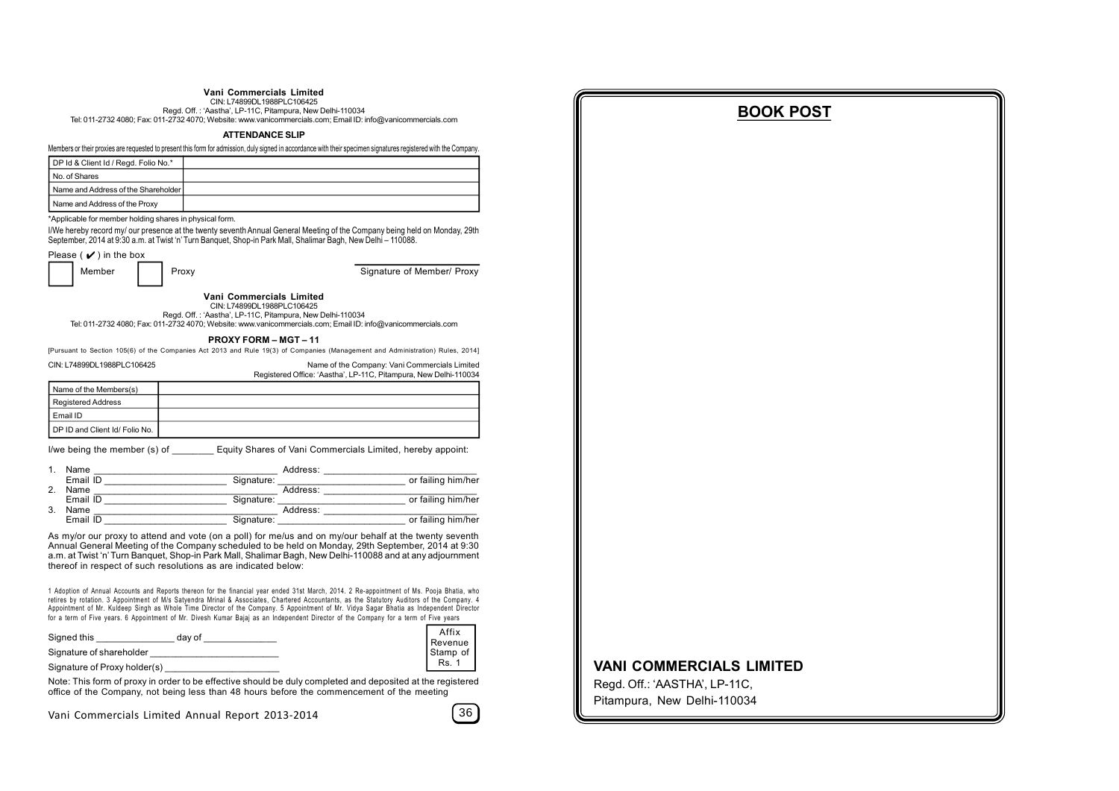#### **Vani Commercials Limited**

CIN: L74899DL1988PLC106425 Regd. Off. : 'Aastha', LP-11C, Pitampura, New Delhi-110034

Tel: 011-2732 4080; Fax: 011-2732 4070; Website: www.vanicommercials.com; Email ID: info@vanicommercials.com

#### **ATTENDANCE SLIP**

Members or their proxies are requested to present this form for admission, duly signed in accordance with their specimen signatures registered with the Company.

| DP Id & Client Id / Regd. Folio No.* |  |
|--------------------------------------|--|
| No. of Shares                        |  |
| Name and Address of the Shareholder  |  |
| Name and Address of the Proxy        |  |

\*Applicable for member holding shares in physical form.

I/We hereby record my/ our presence at the twenty seventh Annual General Meeting of the Company being held on Monday, 29th September, 2014 at 9:30 a.m. at Twist 'n' Turn Banquet, Shop-in Park Mall, Shalimar Bagh, New Delhi – 110088.

| Please ( $\vee$ ) in the box |
|------------------------------|
| Memher                       |

Proxy **Signature of Member/ Proxy** 

**Vani Commercials Limited**

CIN: L74899DL1988PLC106425

Regd. Off. : 'Aastha', LP-11C, Pitampura, New Delhi-110034 Tel: 011-2732 4080; Fax: 011-2732 4070; Website: www.vanicommercials.com; Email ID: info@vanicommercials.com

#### **PROXY FORM – MGT – 11**

[Pursuant to Section 105(6) of the Companies Act 2013 and Rule 19(3) of Companies (Management and Administration) Rules, 2014] CIN: L74899DL1988PLC106425 Name of the Company: Vani Commercials Limited

Registered Office: 'Aastha', LP-11C, Pitampura, New Delhi-110034

| Name of the Members(s)        |  |
|-------------------------------|--|
| Registered Address            |  |
| Email ID                      |  |
| DP ID and Client Id/Folio No. |  |

I/we being the member (s) of **Equity Shares of Vani Commercials Limited, hereby appoint:** 

|    | Name     |            | Address: |                    |
|----|----------|------------|----------|--------------------|
|    | Email ID | Signature: |          | or failing him/her |
|    | Name     |            | Address: |                    |
|    | Email ID | Signature: |          | or failing him/her |
| 3. | Name     |            | Address: |                    |
|    | Email ID | Signature: |          | or failing him/her |

As my/or our proxy to attend and vote (on a poll) for me/us and on my/our behalf at the twenty seventh Annual General Meeting of the Company scheduled to be held on Monday, 29th September, 2014 at 9:30 a.m. at Twist 'n' Turn Banquet, Shop-in Park Mall, Shalimar Bagh, New Delhi-110088 and at any adjournment thereof in respect of such resolutions as are indicated below:

1 Adoption of Annual Accounts and Reports thereon for the financial year ended 31st March, 2014. 2 Re-appointment of Ms. Pooja Bhatia, who retires by rotation. 3 Appointment of M/s Satyendra Mrinal & Associates, Chartered Accountants, as the Statutory Auditors of the Company. 4 Appointment of Mr. Kuldeep Singh as Whole Time Director of the Company. 5 Appointment of Mr. Vidya Sagar Bhatia as Independent Director for a term of Five years. 6 Appointment of Mr. Divesh Kumar Baiaj as an Independent Director of the Company for a term of Five years

| Signed this<br>dav of        | Affix<br>Revenue |
|------------------------------|------------------|
| Signature of shareholder     | Stamp of         |
| Signature of Proxy holder(s) | <b>Rs. 1</b>     |

Note: This form of proxy in order to be effective should be duly completed and deposited at the registered office of the Company, not being less than 48 hours before the commencement of the meeting

Vani Commercials Limited Annual Report 2013-2014 36

#### **BOOK POST**

#### **VANI COMMERCIALS LIMITED**

Regd. Off.: 'AASTHA', LP-11C, Pitampura, New Delhi-110034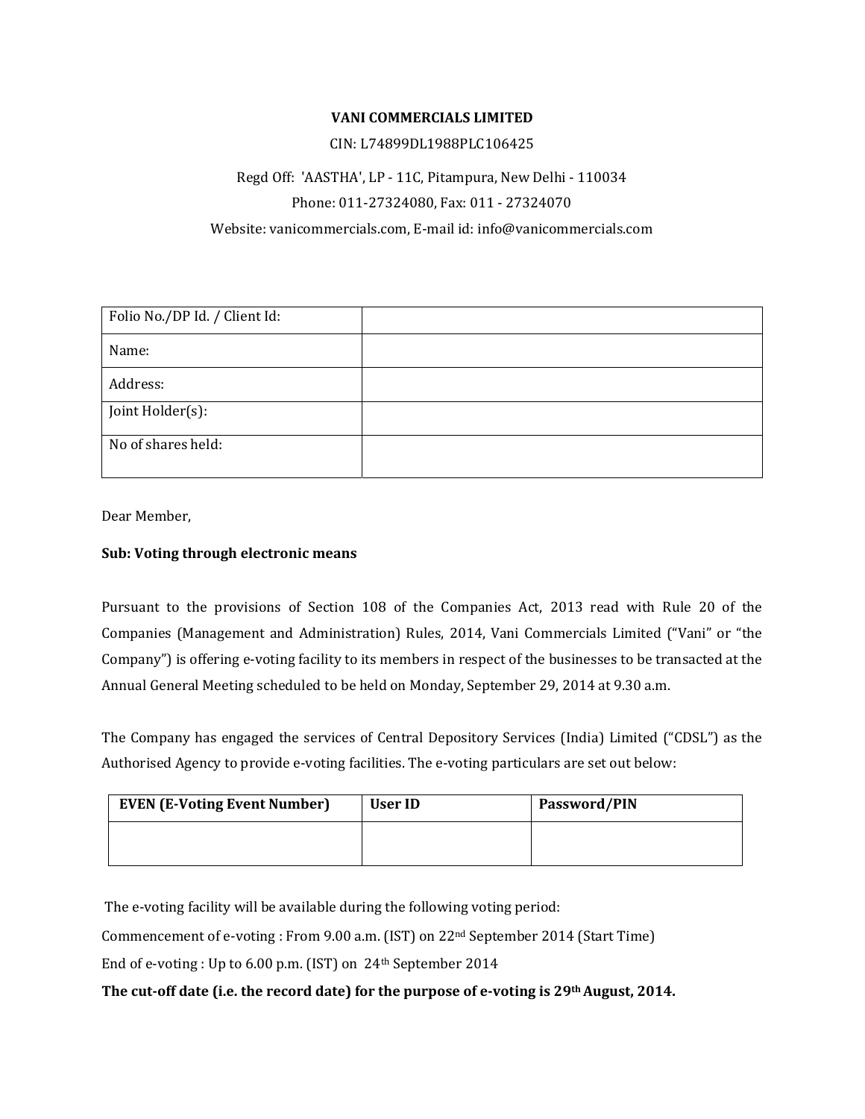#### **VANI COMMERCIALS LIMITED**

#### CIN: L74899DL1988PLC106425

### Regd Off: 'AASTHA', LP ‐ 11C, Pitampura, New Delhi ‐ 110034 Phone: 011‐27324080, Fax: 011 ‐ 27324070 Website: vanicommercials.com, E‐mail id: info@vanicommercials.com

| Folio No./DP Id. / Client Id: |  |
|-------------------------------|--|
| Name:                         |  |
| Address:                      |  |
| Joint Holder(s):              |  |
| No of shares held:            |  |

Dear Member,

#### **Sub: Voting through electronic means**

Pursuant to the provisions of Section 108 of the Companies Act, 2013 read with Rule 20 of the Companies (Management and Administration) Rules, 2014, Vani Commercials Limited ("Vani" or "the Company") is offering e-voting facility to its members in respect of the businesses to be transacted at the Annual General Meeting scheduled to be held on Monday, September 29, 2014 at 9.30 a.m.

The Company has engaged the services of Central Depository Services (India) Limited ("CDSL") as the Authorised Agency to provide e‐voting facilities. The e‐voting particulars are set out below:

| <b>EVEN (E-Voting Event Number)</b> | User ID | Password/PIN |
|-------------------------------------|---------|--------------|
|                                     |         |              |

The e-voting facility will be available during the following voting period:

Commencement of e‐voting : From 9.00 a.m. (IST) on 22nd September 2014 (Start Time)

End of e-voting : Up to 6.00 p.m. (IST) on 24<sup>th</sup> September 2014

#### **The cutoff date (i.e. the record date) for the purpose of evoting is 29thAugust, 2014.**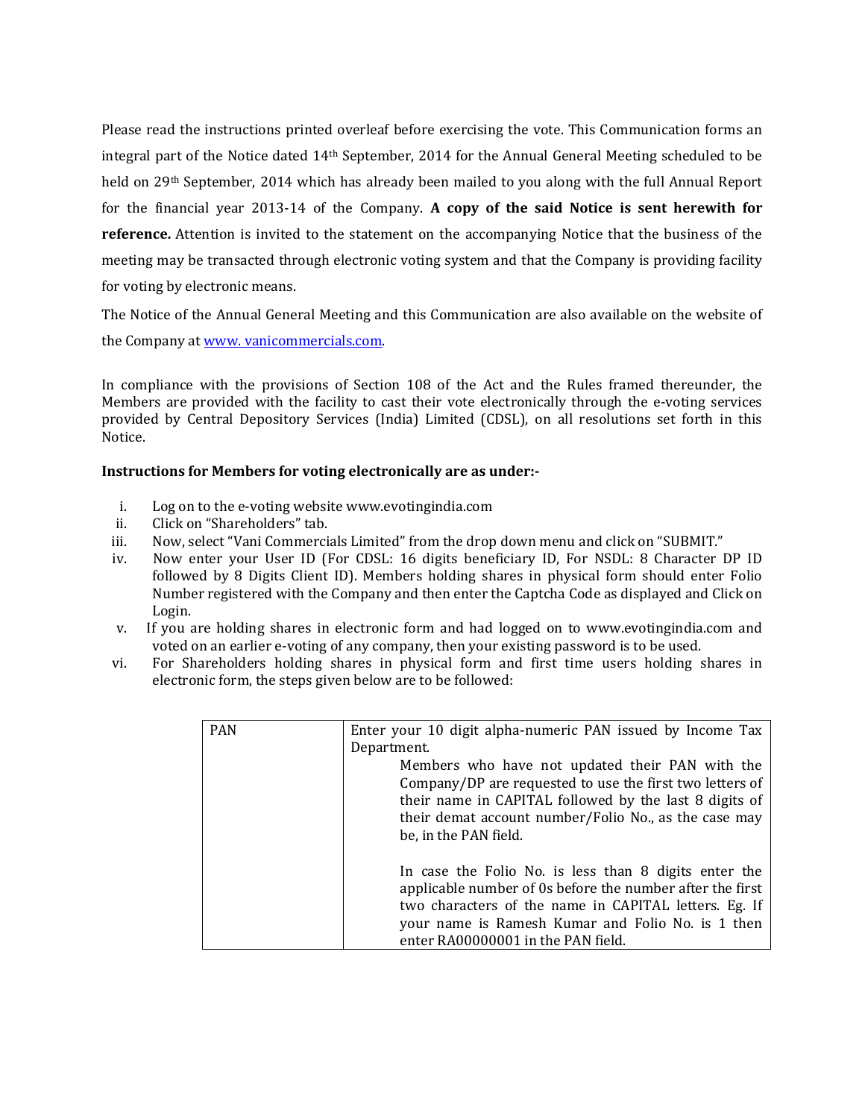Please read the instructions printed overleaf before exercising the vote. This Communication forms an integral part of the Notice dated 14th September, 2014 for the Annual General Meeting scheduled to be held on 29<sup>th</sup> September, 2014 which has already been mailed to you along with the full Annual Report for the financial year 2013‐14 of the Company. **A copy of the said Notice is sent herewith for reference.** Attention is invited to the statement on the accompanying Notice that the business of the meeting may be transacted through electronic voting system and that the Company is providing facility for voting by electronic means.

The Notice of the Annual General Meeting and this Communication are also available on the website of

the Company at www. vanicommercials.com.

In compliance with the provisions of Section 108 of the Act and the Rules framed thereunder, the Members are provided with the facility to cast their vote electronically through the e-voting services provided by Central Depository Services (India) Limited (CDSL), on all resolutions set forth in this Notice.

#### **Instructions for Members for voting electronically are as under:**

- i. Log on to the e‐voting website www.evotingindia.com
- ii. Click on "Shareholders" tab.
- iii. Now, select "Vani Commercials Limited" from the drop down menu and click on "SUBMIT."
- iv. Now enter your User ID (For CDSL: 16 digits beneficiary ID, For NSDL: 8 Character DP ID followed by 8 Digits Client ID). Members holding shares in physical form should enter Folio Number registered with the Company and then enter the Captcha Code as displayed and Click on Login.
- v. If you are holding shares in electronic form and had logged on to www.evotingindia.com and voted on an earlier e-voting of any company, then your existing password is to be used.
- vi. For Shareholders holding shares in physical form and first time users holding shares in electronic form, the steps given below are to be followed:

| <b>PAN</b> | Enter your 10 digit alpha-numeric PAN issued by Income Tax<br>Department.<br>Members who have not updated their PAN with the<br>Company/DP are requested to use the first two letters of<br>their name in CAPITAL followed by the last 8 digits of<br>their demat account number/Folio No., as the case may |
|------------|-------------------------------------------------------------------------------------------------------------------------------------------------------------------------------------------------------------------------------------------------------------------------------------------------------------|
|            | be, in the PAN field.                                                                                                                                                                                                                                                                                       |
|            | In case the Folio No. is less than 8 digits enter the<br>applicable number of 0s before the number after the first<br>two characters of the name in CAPITAL letters. Eg. If<br>your name is Ramesh Kumar and Folio No. is 1 then<br>enter RA00000001 in the PAN field.                                      |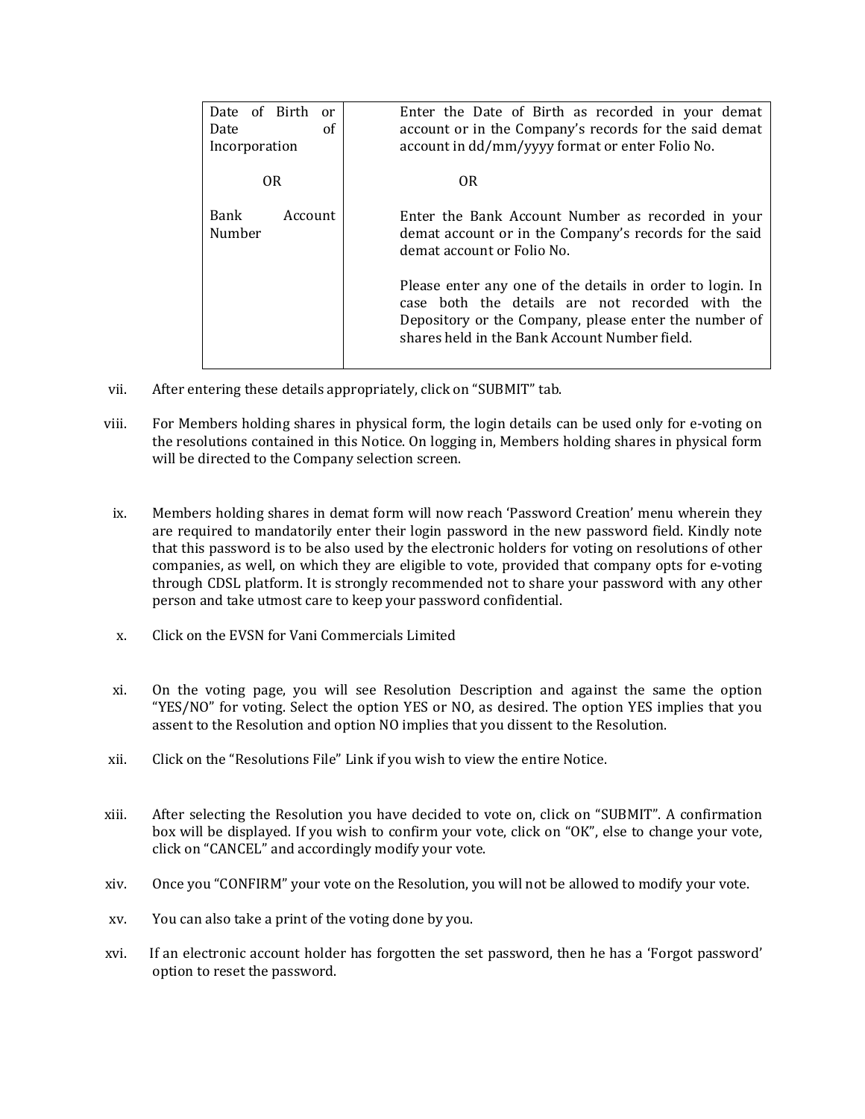| Date of Birth<br>or<br>Date<br>οf<br>Incorporation | Enter the Date of Birth as recorded in your demat<br>account or in the Company's records for the said demat<br>account in dd/mm/yyyy format or enter Folio No.                                                         |
|----------------------------------------------------|------------------------------------------------------------------------------------------------------------------------------------------------------------------------------------------------------------------------|
| 0 <sub>R</sub>                                     | OR.                                                                                                                                                                                                                    |
| Bank<br>Account<br>Number                          | Enter the Bank Account Number as recorded in your<br>demat account or in the Company's records for the said<br>demat account or Folio No.                                                                              |
|                                                    | Please enter any one of the details in order to login. In<br>case both the details are not recorded with the<br>Depository or the Company, please enter the number of<br>shares held in the Bank Account Number field. |

- vii. After entering these details appropriately, click on "SUBMIT" tab.
- viii. For Members holding shares in physical form, the login details can be used only for e‐voting on the resolutions contained in this Notice. On logging in, Members holding shares in physical form will be directed to the Company selection screen.
- ix. Members holding shares in demat form will now reach 'Password Creation' menu wherein they are required to mandatorily enter their login password in the new password field. Kindly note that this password is to be also used by the electronic holders for voting on resolutions of other companies, as well, on which they are eligible to vote, provided that company opts for e-voting through CDSL platform. It is strongly recommended not to share your password with any other person and take utmost care to keep your password confidential.
- x. Click on the EVSN for Vani Commercials Limited
- xi. On the voting page, you will see Resolution Description and against the same the option "YES/NO" for voting. Select the option YES or NO, as desired. The option YES implies that you assent to the Resolution and option NO implies that you dissent to the Resolution.
- xii. Click on the "Resolutions File" Link if you wish to view the entire Notice.
- xiii. After selecting the Resolution you have decided to vote on, click on "SUBMIT". A confirmation box will be displayed. If you wish to confirm your vote, click on "OK", else to change your vote, click on "CANCEL" and accordingly modify your vote.
- xiv. Once you "CONFIRM" your vote on the Resolution, you will not be allowed to modify your vote.
- xv. You can also take a print of the voting done by you.
- xvi. If an electronic account holder has forgotten the set password, then he has a 'Forgot password' option to reset the password.